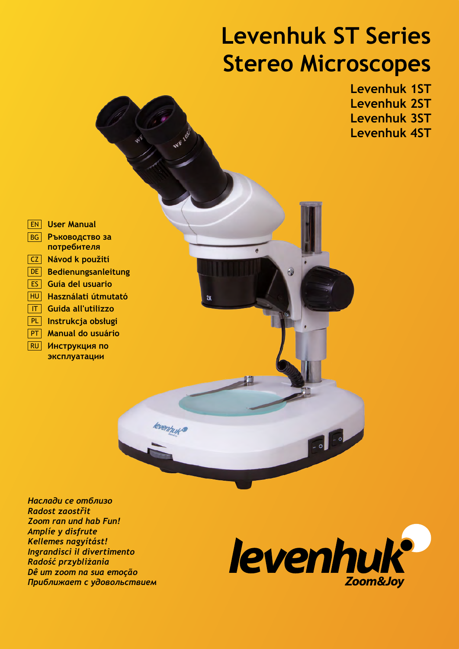# **Levenhuk ST Series Stereo Microscopes**



*Наслади се отблизо Radost zaostřit Zoom ran und hab Fun! Amplíe y disfrute Kellemes nagyítást! Ingrandisci il divertimento Radość przybliżania Dê um zoom na sua emoção Приближает с удовольствием*

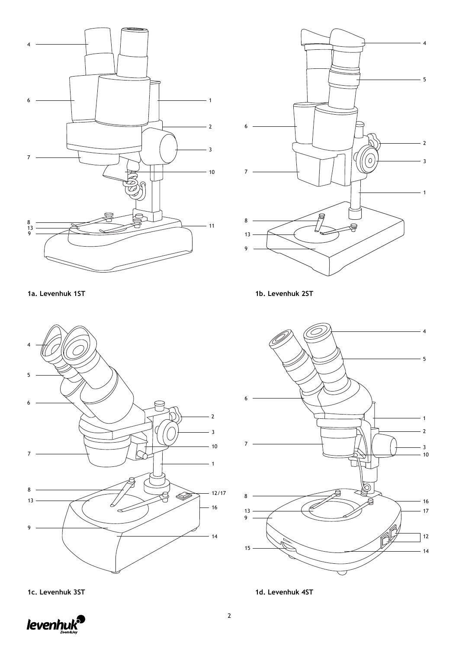



**1a. Levenhuk 1ST 1b. Levenhuk 2ST**





**1c. Levenhuk 3ST 1d. Levenhuk 4ST**

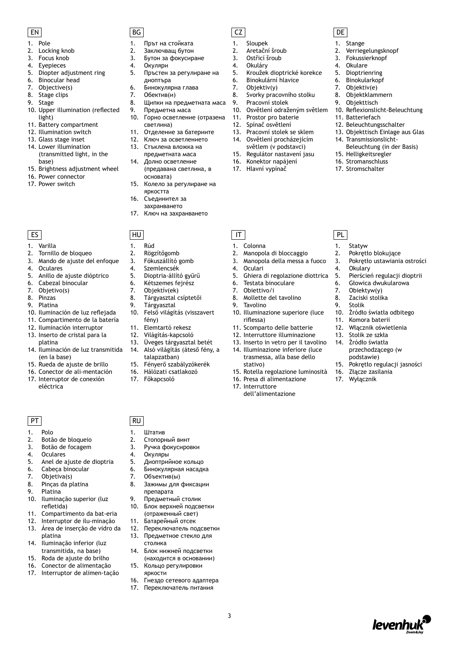- 1. Pole
- 2. Locking knob
- 
- 3. Focus knob<br>4. Evepieces **Evepieces**
- 5. Diopter adjustment ring
- 6. Binocular head
- 7. Objective(s)
- 8. Stage clips
- 9. Stage
- 10. Upper illumination (reflected light)
- 11. Battery compartment
- 12. Illumination switch
- 13. Glass stage inset
- 14. Lower illumination (transmitted light, in the base)
- 15. Brightness adjustment wheel
- 16. Power connector
- 17. Power switch

- 1. Varilla
- 2. Tornillo de bloqueo
- 3. Mando de ajuste del enfoque
- 4. Oculares
- 5. Anillo de ajuste dióptrico
- 6. Cabezal binocular<br>7 Objetivo(s)
- Objetivo(s)
- 8. Pinzas
- 9. Platina
- 10. Iluminación de luz reflejada
- 11. Compartimento de la batería
- 12. Iluminación interruptor
- 13. Inserto de cristal para la platina
- 14. Iluminación de luz transmitida (en la base)
- 15. Rueda de ajuste de brillo
- 16. Conector de ali-mentación
- 17. Interruptor de conexión eléctrica

PT | RU

- 1. Polo
- 2. Botão de bloqueio
- 3. Botão de focagem
- 4. Oculares<br>5. Anel de a
- 5. Anel de ajuste de dioptria
- 6. Cabeça binocular
- 7. Objetiva(s)
- 8. Pinças da platina 9. Platina
- 
- 10. Iluminação superior (luz refletida)
- 11. Compartimento da bat-eria
- 12. Interruptor de ilu-minação 13. Área de inserção de vidro da
- platina 14. Iluminação inferior (luz transmitida, na base)
- 15. Roda de ajuste do brilho
- 16. Conector de alimentação
- 17. Interruptor de alimen-tação
- 

### EN BG CZ DE

- 1. Прът на стойката
- 2. Заключващ бутон
- 3. Бутон за фокусиране 4. Окуляри
- 
- 5. Пръстен за регулиране на диоптъра
- 6. Бинокулярна глава
- 7. Обектив(и)
- 8. Щипки на предметната маса
	-
- 9. Предметна маса<br>10. Горно осветлени 10. Горно осветление (отразена светлина)
- 11. Отделение за батериите
- 12. Ключ за осветлението
- 13. Стъклена вложка на предметната маса
- 14. Долно осветление (предавана светлина, в
- основата) 15. Колело за регулиране на яркостта
- 16. Съединител за
- захранването
- 17. Ключ на захранването

#### ES  $\vert$  HU  $\vert$  HU  $\vert$  T  $\vert$  T  $\vert$  T  $\vert$  PL

- 1. Rúd
- 2. Rögzítőgomb
- 3. Fókuszállító gomb
- 4. Szemlencsék
- 5. Dioptria-állító gyűrű
- 
- 6. Kétszemes fejrész<br>7. Objektív(ek) Objektív(ek)
- 8. Tárgyasztal csíptetői
- 9. Tárgyasztal
- 10. Felső világítás (visszavert
- fény)
- 11. Elemtartó rekesz
- 12. Világítás-kapcsoló<br>13. Üveges tárgyaszta
- 13. Üveges tárgyasztal betét 14. Alsó világítás (áteső fény, a
- talapzatban)

3

- 15. Fényerő szabályzókerék
- 16. Hálózati csatlakozó
- 17. Főkapcsoló
	-

1. Штатив 2. Стопорный винт 3. Ручка фокусировки

4. Окуляры

7. Объектив(ы)<br>8. Зажимы для

столика

14. Блок нижней подсветки (находится в основании) 15. Кольцо регулировки яркости

16. Гнездо сетевого адаптера 17. Переключатель питания

препарата 9. Предметный столик 10. Блок верхней подсветки (отраженный свет) 11. Батарейный отсек 12. Переключатель подсветки 13. Предметное стекло для

5. Диоптрийное кольцо 6. Бинокулярная насадка

8. Зажимы для фиксации



- 1. Sloupek
- 2. Aretační šroub

7. Objektiv(y)

- 
- 3. Ostřicí šroub<br>4. Okuláry **Okuláry**

1. Colonna

4. Oculari

9. Tavolino

riflessa)

stativo)

17. Interruttore

2. Manopola di bloccaggio 3. Manopola della messa a fuoco

6. Testata binoculare 7. Obiettivo/i 8. Mollette del tavolino

5. Ghiera di regolazione diottrica

10. Illuminazione superiore (luce

15. Rotella regolazione luminosità 16. Presa di alimentazione

dell'alimentazione

11. Scomparto delle batterie 12. Interruttore illuminazione 13. Inserto in vetro per il tavolino 14. Illuminazione inferiore (luce trasmessa, alla base dello

5. Kroužek dioptrické korekce

1. Stange

2. Verriegelungsknopf 3. Fokussierknopf 4. Okulare 5. Dioptrienring 6. Binokularkopf 7. Objektiv(e) 8. Objektklammern 9. Objekttisch

11. Batteriefach 12. Beleuchtungsschalter 13. Objekttisch Einlage aus Glas

14. Transmissionslicht-

15. Helligkeitsregler 16. Stromanschluss 17. Stromschalter

1. Statyw

4. Okulary

2. Pokrętło blokujące 3. Pokrętło ustawiania ostrości

5. Pierścień regulacji dioptrii 6. Głowica dwukularowa<br>7. Obiektyw(y) Obiektyw(y) 8. Zaciski stolika 9. Stolik

10. Źródło światła odbitego 11. Komora baterii 12. Włącznik oświetlenia 13. Stolik ze szkła 14. Źródło światła

> przechodzącego (w podstawie)

16. Złącze zasilania 17. Wyłącznik

15. Pokrętło regulacji jasności

levenhu

10. Reflexionslicht-Beleuchtung

Beleuchtung (in der Basis)

6. Binokulární hlavice

8. Svorky pracovního stolku 9. Pracovní stolek

11. Prostor pro baterie 12. Spínač osvětlení 13. Pracovní stolek se sklem 14. Osvětlení procházejícím světlem (v podstavci) 15. Regulátor nastavení jasu 16. Konektor napájení 17. Hlavní vypínač

10. Osvětlení odraženým světlem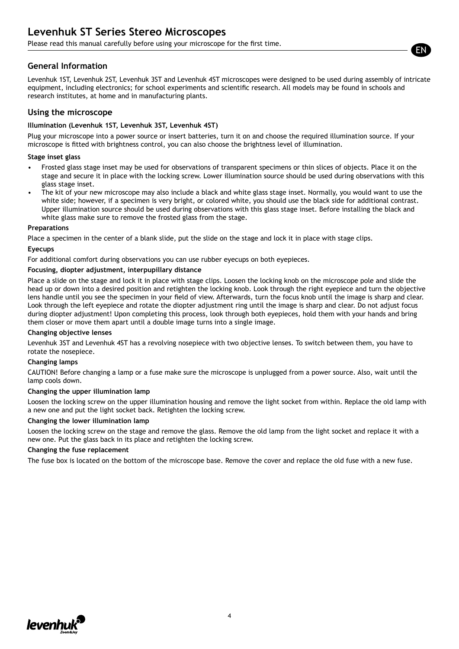Please read this manual carefully before using your microscope for the first time.

### **General Information**

Levenhuk 1ST, Levenhuk 2ST, Levenhuk 3ST and Levenhuk 4ST microscopes were designed to be used during assembly of intricate equipment, including electronics; for school experiments and scientific research. All models may be found in schools and research institutes, at home and in manufacturing plants.

#### **Using the microscope**

#### **Illumination (Levenhuk 1ST, Levenhuk 3ST, Levenhuk 4ST)**

Plug your microscope into a power source or insert batteries, turn it on and choose the required illumination source. If your microscope is fitted with brightness control, you can also choose the brightness level of illumination.

#### **Stage inset glass**

- Frosted glass stage inset may be used for observations of transparent specimens or thin slices of objects. Place it on the stage and secure it in place with the locking screw. Lower illumination source should be used during observations with this glass stage inset.
- The kit of your new microscope may also include a black and white glass stage inset. Normally, you would want to use the white side; however, if a specimen is very bright, or colored white, you should use the black side for additional contrast. Upper illumination source should be used during observations with this glass stage inset. Before installing the black and white glass make sure to remove the frosted glass from the stage.

#### **Preparations**

Place a specimen in the center of a blank slide, put the slide on the stage and lock it in place with stage clips.

#### **Eyecups**

For additional comfort during observations you can use rubber eyecups on both eyepieces.

#### **Focusing, diopter adjustment, interpupillary distance**

Place a slide on the stage and lock it in place with stage clips. Loosen the locking knob on the microscope pole and slide the head up or down into a desired position and retighten the locking knob. Look through the right eyepiece and turn the objective lens handle until you see the specimen in your field of view. Afterwards, turn the focus knob until the image is sharp and clear. Look through the left eyepiece and rotate the diopter adjustment ring until the image is sharp and clear. Do not adjust focus during diopter adjustment! Upon completing this process, look through both eyepieces, hold them with your hands and bring them closer or move them apart until a double image turns into a single image.

#### **Changing objective lenses**

Levenhuk 3ST and Levenhuk 4ST has a revolving nosepiece with two objective lenses. To switch between them, you have to rotate the nosepiece.

#### **Changing lamps**

CAUTION! Before changing a lamp or a fuse make sure the microscope is unplugged from a power source. Also, wait until the lamp cools down.

#### **Changing the upper illumination lamp**

Loosen the locking screw on the upper illumination housing and remove the light socket from within. Replace the old lamp with a new one and put the light socket back. Retighten the locking screw.

#### **Changing the lower illumination lamp**

Loosen the locking screw on the stage and remove the glass. Remove the old lamp from the light socket and replace it with a new one. Put the glass back in its place and retighten the locking screw.

#### **Changing the fuse replacement**

The fuse box is located on the bottom of the microscope base. Remove the cover and replace the old fuse with a new fuse.



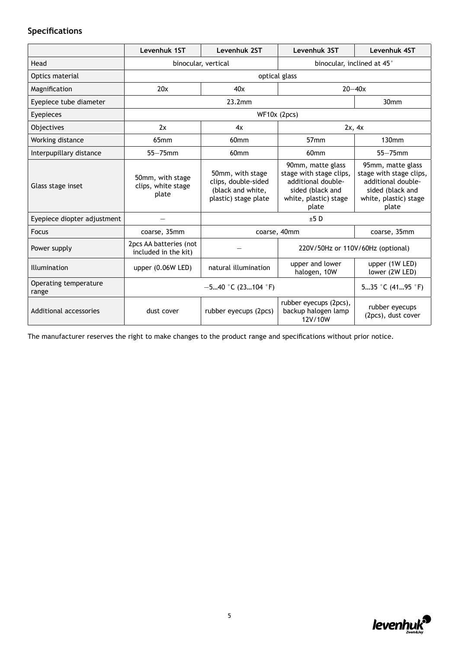### **Specifications**

|                                | Levenhuk 1ST                                    | Levenhuk 2ST                                                                         | Levenhuk 3ST                                                                                                             | Levenhuk 4ST                                                                                                             |  |
|--------------------------------|-------------------------------------------------|--------------------------------------------------------------------------------------|--------------------------------------------------------------------------------------------------------------------------|--------------------------------------------------------------------------------------------------------------------------|--|
| Head                           |                                                 | binocular, vertical                                                                  |                                                                                                                          | binocular, inclined at 45°                                                                                               |  |
| Optics material                |                                                 |                                                                                      | optical glass                                                                                                            |                                                                                                                          |  |
| Magnification                  | 20x                                             | 40x                                                                                  |                                                                                                                          | $20 - 40x$                                                                                                               |  |
| Eyepiece tube diameter         |                                                 | 23.2mm                                                                               |                                                                                                                          | 30 <sub>mm</sub>                                                                                                         |  |
| Eyepieces                      |                                                 |                                                                                      | WF10x (2pcs)                                                                                                             |                                                                                                                          |  |
| Objectives                     | 2x                                              | 4x                                                                                   |                                                                                                                          | 2x, 4x                                                                                                                   |  |
| Working distance               | 65 <sub>mm</sub>                                | 60 <sub>mm</sub>                                                                     | 57 <sub>mm</sub>                                                                                                         | 130 <sub>mm</sub>                                                                                                        |  |
| Interpupillary distance        | $55 - 75$ mm                                    | 60 <sub>mm</sub>                                                                     | 60 <sub>mm</sub>                                                                                                         | $55 - 75$ mm                                                                                                             |  |
| Glass stage inset              | 50mm, with stage<br>clips, white stage<br>plate | 50mm, with stage<br>clips, double-sided<br>(black and white,<br>plastic) stage plate | 90mm, matte glass<br>stage with stage clips,<br>additional double-<br>sided (black and<br>white, plastic) stage<br>plate | 95mm, matte glass<br>stage with stage clips,<br>additional double-<br>sided (black and<br>white, plastic) stage<br>plate |  |
| Eyepiece diopter adjustment    |                                                 |                                                                                      | $±5$ D                                                                                                                   |                                                                                                                          |  |
| <b>Focus</b>                   | coarse, 35mm                                    |                                                                                      | coarse, 40mm                                                                                                             | coarse, 35mm                                                                                                             |  |
| Power supply                   | 2pcs AA batteries (not<br>included in the kit)  |                                                                                      | 220V/50Hz or 110V/60Hz (optional)                                                                                        |                                                                                                                          |  |
| Illumination                   | upper $(0.06W$ LED)                             | natural illumination                                                                 | upper and lower<br>halogen, 10W                                                                                          | upper (1W LED)<br>lower (2W LED)                                                                                         |  |
| Operating temperature<br>range | $-540$ °C (23104 °F)                            |                                                                                      |                                                                                                                          | 535 °C (4195 °F)                                                                                                         |  |
| Additional accessories         | dust cover                                      | rubber eyecups (2pcs)                                                                | rubber eyecups (2pcs),<br>backup halogen lamp<br>12V/10W                                                                 | rubber eyecups<br>(2pcs), dust cover                                                                                     |  |

The manufacturer reserves the right to make changes to the product range and specifications without prior notice.

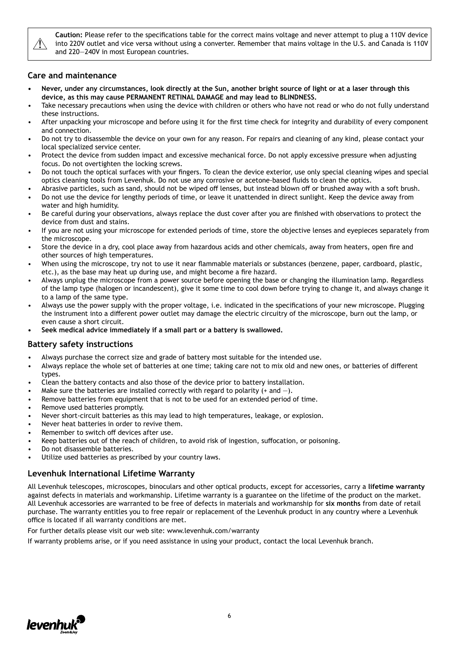

**Caution:** Please refer to the specifications table for the correct mains voltage and never attempt to plug a 110V device into 220V outlet and vice versa without using a converter. Remember that mains voltage in the U.S. and Canada is 110V and 220—240V in most European countries.

#### **Care and maintenance**

- **• Never, under any circumstances, look directly at the Sun, another bright source of light or at a laser through this device, as this may cause PERMANENT RETINAL DAMAGE and may lead to BLINDNESS.**
- Take necessary precautions when using the device with children or others who have not read or who do not fully understand these instructions.
- After unpacking your microscope and before using it for the first time check for integrity and durability of every component and connection.
- Do not try to disassemble the device on your own for any reason. For repairs and cleaning of any kind, please contact your local specialized service center.
- Protect the device from sudden impact and excessive mechanical force. Do not apply excessive pressure when adjusting focus. Do not overtighten the locking screws.
- Do not touch the optical surfaces with your fingers. To clean the device exterior, use only special cleaning wipes and special optics cleaning tools from Levenhuk. Do not use any corrosive or acetone-based fluids to clean the optics.
- Abrasive particles, such as sand, should not be wiped off lenses, but instead blown off or brushed away with a soft brush.
- Do not use the device for lengthy periods of time, or leave it unattended in direct sunlight. Keep the device away from water and high humidity.
- Be careful during your observations, always replace the dust cover after you are finished with observations to protect the device from dust and stains.
- If you are not using your microscope for extended periods of time, store the objective lenses and eyepieces separately from the microscope.
- Store the device in a dry, cool place away from hazardous acids and other chemicals, away from heaters, open fire and other sources of high temperatures.
- When using the microscope, try not to use it near flammable materials or substances (benzene, paper, cardboard, plastic, etc.), as the base may heat up during use, and might become a fire hazard.
- Always unplug the microscope from a power source before opening the base or changing the illumination lamp. Regardless of the lamp type (halogen or incandescent), give it some time to cool down before trying to change it, and always change it to a lamp of the same type.
- Always use the power supply with the proper voltage, i.e. indicated in the specifications of your new microscope. Plugging the instrument into a different power outlet may damage the electric circuitry of the microscope, burn out the lamp, or even cause a short circuit.
- **• Seek medical advice immediately if a small part or a battery is swallowed.**

#### **Battery safety instructions**

- Always purchase the correct size and grade of battery most suitable for the intended use.
- Always replace the whole set of batteries at one time; taking care not to mix old and new ones, or batteries of different types.
- Clean the battery contacts and also those of the device prior to battery installation.
- Make sure the batteries are installed correctly with regard to polarity (+ and  $-$ ).
- Remove batteries from equipment that is not to be used for an extended period of time.
- Remove used batteries promptly.
- Never short-circuit batteries as this may lead to high temperatures, leakage, or explosion.
- Never heat batteries in order to revive them.
- Remember to switch off devices after use.
- Keep batteries out of the reach of children, to avoid risk of ingestion, suffocation, or poisoning.
- Do not disassemble batteries.
- Utilize used batteries as prescribed by your country laws.

#### **Levenhuk International Lifetime Warranty**

All Levenhuk telescopes, microscopes, binoculars and other optical products, except for accessories, carry a **lifetime warranty** against defects in materials and workmanship. Lifetime warranty is a guarantee on the lifetime of the product on the market. All Levenhuk accessories are warranted to be free of defects in materials and workmanship for **six months** from date of retail purchase. The warranty entitles you to free repair or replacement of the Levenhuk product in any country where a Levenhuk office is located if all warranty conditions are met.

For further details please visit our web site: www.levenhuk.com/warranty

If warranty problems arise, or if you need assistance in using your product, contact the local Levenhuk branch.

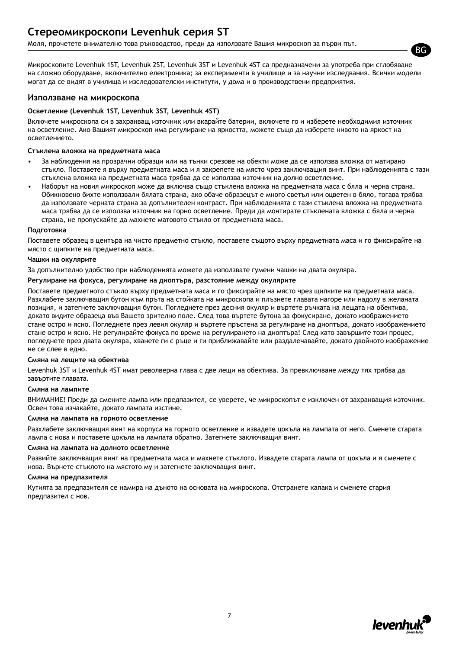### **Стереомикроскопи Levenhuk серия ST**

Моля, прочетете внимателно това ръководство, преди да използвате Вашия микроскоп за първи път.

Микроскопите Levenhuk 1ST, Levenhuk 2ST, Levenhuk 3ST и Levenhuk 4ST са предназначени за употреба при сглобяване на сложно оборудване, включително електроника; за експерименти в училище и за научни изследвания. Всички модели могат да се видят в училища и изследователски институти, у дома и в производствени предприятия.

#### **Използване на микроскопа**

#### **Осветление (Levenhuk 1ST, Levenhuk 3ST, Levenhuk 4ST)**

Включете микроскопа си в захранващ източник или вкарайте батерии, включете го и изберете необходимия източник на осветление. Ако Вашият микроскоп има регулиране на яркостта, можете също да изберете нивото на яркост на осветлението.

#### **Стъклена вложка на предметната маса**

- За наблюдения на прозрачни образци или на тънки срезове на обекти може да се използва вложка от матирано стъкло. Поставете я върху предметната маса и я закрепете на място чрез заключващия винт. При наблюденията с тази стъклена вложка на предметната маса трябва да се използва източник на долно осветление.
- Наборът на новия микроскоп може да включва също стъклена вложка на предметната маса с бяла и черна страна. Обикновено бихте използвали бялата страна, ако обаче образецът е много светъл или оцветен в бяло, тогава трябва да използвате черната страна за допълнителен контраст. При наблюденията с тази стъклена вложка на предметната маса трябва да се използва източник на горно осветление. Преди да монтирате стъклената вложка с бяла и черна страна, не пропускайте да махнете матовото стъкло от предметната маса.

#### **Подготовка**

Поставете образец в центъра на чисто предметно стъкло, поставете същото върху предметната маса и го фиксирайте на място с щипките на предметната маса.

#### **Чашки на окулярите**

За допълнително удобство при наблюденията можете да използвате гумени чашки на двата окуляра.

#### **Регулиране на фокуса, регулиране на диоптъра, разстояние между окулярите**

Поставете предметното стъкло върху предметната маса и го фиксирайте на място чрез щипките на предметната маса. Разхлабете заключващия бутон към пръта на стойката на микроскопа и плъзнете главата нагоре или надолу в желаната позиция, и затегнете заключващия бутон. Погледнете през десния окуляр и въртете ръчката на лещата на обектива, докато видите образеца във Вашето зрително поле. След това въртете бутона за фокусиране, докато изображението стане остро и ясно. Погледнете през левия окуляр и въртете пръстена за регулиране на диоптъра, докато изображението стане остро и ясно. Не регулирайте фокуса по време на регулирането на диоптъра! След като завършите този процес, погледнете през двата окуляра, хванете ги с ръце и ги приближавайте или раздалечавайте, докато двойното изображение не се слее в едно.

#### **Смяна на лещите на обектива**

Levenhuk 3ST и Levenhuk 4ST имат револверна глава с две лещи на обектива. За превключване между тях трябва да завъртите главата.

#### **Смяна на лампите**

ВНИМАНИЕ! Преди да смените лампа или предпазител, се уверете, че микроскопът е изключен от захранващия източник. Освен това изчакайте, докато лампата изстине.

#### **Смяна на лампата на горното осветление**

Разхлабете заключващия винт на корпуса на горното осветление и извадете цокъла на лампата от него. Сменете старата лампа с нова и поставете цокъла на лампата обратно. Затегнете заключващия винт.

#### **Смяна на лампата на долното осветление**

Развийте заключващия винт на предметната маса и махнете стъклото. Извадете старата лампа от цокъла и я сменете с нова. Върнете стъклото на мястото му и затегнете заключващия винт.

#### **Смяна на предпазителя**

Кутията за предпазителя се намира на дъното на основата на микроскопа. Отстранете капака и сменете стария предпазител с нов.



BG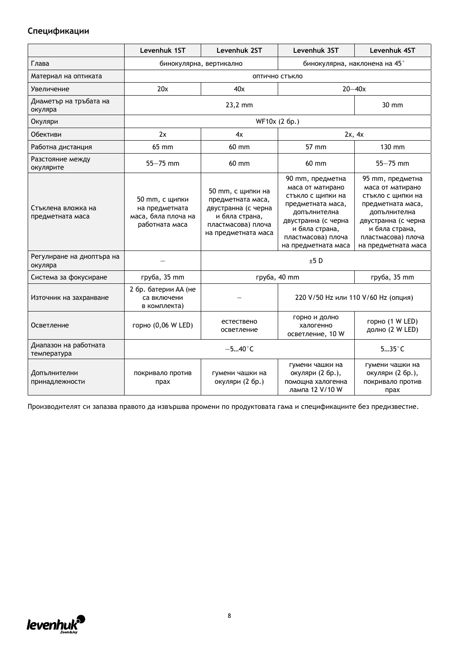### **Спецификации**

|                                        | Levenhuk 1ST                                                              | Levenhuk 2ST                                                                                                                 | Levenhuk 3ST                                                                                                                                                                         | Levenhuk 4ST                                                                                                                                                                         |
|----------------------------------------|---------------------------------------------------------------------------|------------------------------------------------------------------------------------------------------------------------------|--------------------------------------------------------------------------------------------------------------------------------------------------------------------------------------|--------------------------------------------------------------------------------------------------------------------------------------------------------------------------------------|
| Глава                                  | бинокулярна, наклонена на 45°<br>бинокулярна, вертикално                  |                                                                                                                              |                                                                                                                                                                                      |                                                                                                                                                                                      |
| Материал на оптиката                   |                                                                           |                                                                                                                              | ОПТИЧНО СТЪКЛО                                                                                                                                                                       |                                                                                                                                                                                      |
| Увеличение                             | 20x                                                                       | 40x                                                                                                                          |                                                                                                                                                                                      | $20 - 40x$                                                                                                                                                                           |
| Диаметър на тръбата на<br>окуляра      |                                                                           | 23,2 mm                                                                                                                      |                                                                                                                                                                                      | 30 mm                                                                                                                                                                                |
| Окуляри                                |                                                                           |                                                                                                                              | WF10x (2 6p.)                                                                                                                                                                        |                                                                                                                                                                                      |
| Обективи                               | 2x                                                                        | 4x                                                                                                                           |                                                                                                                                                                                      | 2x, 4x                                                                                                                                                                               |
| Работна дистанция                      | 65 mm                                                                     | 60 mm                                                                                                                        | 57 mm                                                                                                                                                                                | 130 mm                                                                                                                                                                               |
| Разстояние между<br>окулярите          | $55 - 75$ mm                                                              | 60 mm                                                                                                                        | 60 mm                                                                                                                                                                                | $55 - 75$ mm                                                                                                                                                                         |
| Стъклена вложка на<br>предметната маса | 50 mm, с щипки<br>на предметната<br>маса, бяла плоча на<br>работната маса | 50 mm, с щипки на<br>предметната маса,<br>двустранна (с черна<br>и бяла страна,<br>пластмасова) плоча<br>на предметната маса | 90 mm, предметна<br>маса от матирано<br>стъкло с щипки на<br>предметната маса,<br>допълнителна<br>двустранна (с черна<br>и бяла страна,<br>пластмасова) плоча<br>на предметната маса | 95 mm, предметна<br>маса от матирано<br>стъкло с щипки на<br>предметната маса,<br>допълнителна<br>двустранна (с черна<br>и бяла страна,<br>пластмасова) плоча<br>на предметната маса |
| Регулиране на диоптъра на<br>окуляра   |                                                                           |                                                                                                                              | ±5D                                                                                                                                                                                  |                                                                                                                                                                                      |
| Система за фокусиране                  | груба, 35 mm                                                              |                                                                                                                              | груба, 40 mm                                                                                                                                                                         | груба, 35 mm                                                                                                                                                                         |
| Източник на захранване                 | 2 бр. батерии АА (не<br>са включени<br>в комплекта)                       |                                                                                                                              | 220 V/50 Нz или 110 V/60 Нz (опция)                                                                                                                                                  |                                                                                                                                                                                      |
| Осветление                             | горно (0,06 W LED)                                                        | естествено<br>осветление                                                                                                     | горно и долно<br>халогенно<br>осветление, 10 W                                                                                                                                       | горно (1 W LED)<br>долно (2 W LED)                                                                                                                                                   |
| Диапазон на работната<br>температура   |                                                                           | $-540$ °C                                                                                                                    |                                                                                                                                                                                      |                                                                                                                                                                                      |
| Допълнителни<br>принадлежности         | покривало против<br>прах                                                  | гумени чашки на<br>окуляри (2 бр.)                                                                                           | гумени чашки на<br>окуляри (2 бр.),<br>помощна халогенна<br>лампа 12 V/10 W                                                                                                          | гумени чашки на<br>окуляри (2 бр.),<br>покривало против<br>прах                                                                                                                      |

Производителят си запазва правото да извършва промени по продуктовата гама и спецификациите без предизвестие.

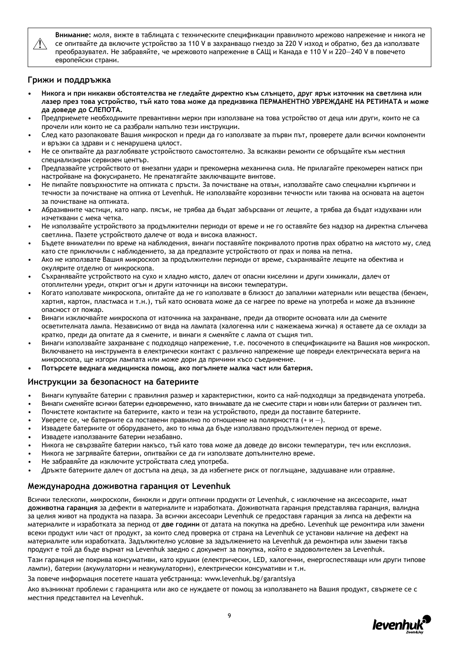

**Внимание:** моля, вижте в таблицата с техническите спецификации правилното мрежово напрежение и никога не се опитвайте да включите устройство за 110 V в захранващо гнездо за 220 V изход и обратно, без да използвате преобразувател. Не забравяйте, че мрежовото напрежение в САЩ и Канада е 110 V и 220—240 V в повечето европейски страни.

#### **Грижи и поддръжка**

- **• Никога и при никакви обстоятелства не гледайте директно към слънцето, друг ярък източник на светлина или лазер през това устройство, тъй като това може да предизвика ПЕРМАНЕНТНО УВРЕЖДАНЕ НА РЕТИНАТА и може да доведе до СЛЕПОТА.**
- Предприемете необходимите превантивни мерки при използване на това устройство от деца или други, които не са прочели или които не са разбрали напълно тези инструкции.
- След като разопаковате Вашия микроскоп и преди да го използвате за първи път, проверете дали всички компоненти и връзки са здрави и с ненарушена цялост.
- Не се опитвайте да разглобявате устройството самостоятелно. За всякакви ремонти се обръщайте към местния специализиран сервизен център.
- Предпазвайте устройството от внезапни удари и прекомерна механична сила. Не прилагайте прекомерен натиск при настройване на фокусирането. Не пренатягайте заключващите винтове.
- Не пипайте повърхностите на оптиката с пръсти. За почистване на отвън, използвайте само специални кърпички и течности за почистване на оптика от Levenhuk. Не използвайте корозивни течности или такива на основата на ацетон за почистване на оптиката.
- Абразивните частици, като напр. пясък, не трябва да бъдат забърсвани от лещите, а трябва да бъдат издухвани или изчетквани с мека четка.
- Не използвайте устройството за продължителни периоди от време и не го оставяйте без надзор на директна слънчева светлина. Пазете устройството далече от вода и висока влажност.
- Бъдете внимателни по време на наблюдения, винаги поставяйте покривалото против прах обратно на мястото му, след като сте приключили с наблюдението, за да предпазите устройството от прах и поява на петна.
- Ако не използвате Вашия микроскоп за продължителни периоди от време, съхранявайте лещите на обектива и окулярите отделно от микроскопа.
- Съхранявайте устройството на сухо и хладно място, далеч от опасни киселини и други химикали, далеч от отоплителни уреди, открит огън и други източници на високи температури.
- Когато използвате микроскопа, опитайте да не го използвате в близост до запалими материали или вещества (бензен, хартия, картон, пластмаса и т.н.), тъй като основата може да се нагрее по време на употреба и може да възникне опасност от пожар.
- Винаги изключвайте микроскопа от източника на захранване, преди да отворите основата или да смените осветителната лампа. Независимо от вида на лампата (халогенна или с нажежаема жичка) я оставете да се охлади за кратко, преди да опитате да я смените, и винаги я сменяйте с лампа от същия тип.
- Винаги използвайте захранване с подходящо напрежение, т.е. посоченото в спецификациите на Вашия нов микроскоп. Включването на инструмента в електрически контакт с различно напрежение ще повреди електрическата верига на микроскопа, ще изгори лампата или може дори да причини късо съединение.
- **• Потърсете веднага медицинска помощ, ако погълнете малка част или батерия.**

#### **Инструкции за безопасност на батериите**

- Винаги купувайте батерии с правилния размер и характеристики, които са най-подходящи за предвидената употреба.
- Винаги сменяйте всички батерии едновременно, като внимавате да не смесите стари и нови или батерии от различен тип.
- Почистете контактите на батериите, както и тези на устройството, преди да поставите батериите.
- Уверете се, че батериите са поставени правилно по отношение на полярността  $(+ \mu -)$ .
- Извадете батериите от оборудването, ако то няма да бъде използвано продължителен период от време.
- Извадете използваните батерии незабавно.
- Никога не свързвайте батерии накъсо, тъй като това може да доведе до високи температури, теч или експлозия.
- Никога не загрявайте батерии, опитвайки се да ги използвате допълнително време.
- Не забравяйте да изключите устройствата след употреба.
- Дръжте батериите далеч от достъпа на деца, за да избегнете риск от поглъщане, задушаване или отравяне.

#### **Международна доживотна гаранция от Levenhuk**

Всички телескопи, микроскопи, бинокли и други оптични продукти от Levenhuk, с изключение на аксесоарите, имат **доживотна гаранция** за дефекти в материалите и изработката. Доживотната гаранция представлява гаранция, валидна за целия живот на продукта на пазара. За всички аксесоари Levenhuk се предоставя гаранция за липса на дефекти на материалите и изработката за период от **две години** от датата на покупка на дребно. Levenhuk ще ремонтира или замени всеки продукт или част от продукт, за които след проверка от страна на Levenhuk се установи наличие на дефект на материалите или изработката. Задължително условие за задължението на Levenhuk да ремонтира или замени такъв продукт е той да бъде върнат на Levenhuk заедно с документ за покупка, който е задоволителен за Levenhuk.

Тази гаранция не покрива консумативи, като крушки (електрически, LED, халогенни, енергоспестяващи или други типове лампи), батерии (акумулаторни и неакумулаторни), електрически консумативи и т.н.

За повече информация посетете нашата уебстраница: www.levenhuk.bg/garantsiya

Ако възникнат проблеми с гаранцията или ако се нуждаете от помощ за използването на Вашия продукт, свържете се с местния представител на Levenhuk.

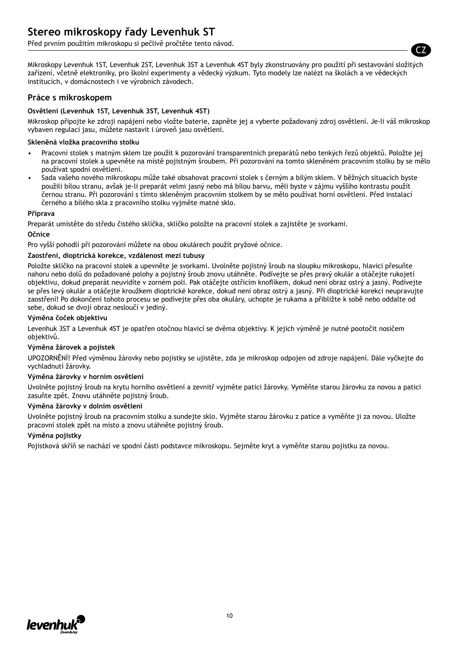Před prvním použitím mikroskopu si pečlivě pročtěte tento návod.

Mikroskopy Levenhuk 1ST, Levenhuk 2ST, Levenhuk 3ST a Levenhuk 4ST byly zkonstruovány pro použití při sestavování složitých zařízení, včetně elektroniky, pro školní experimenty a vědecký výzkum. Tyto modely lze nalézt na školách a ve vědeckých institucích, v domácnostech i ve výrobních závodech.

#### **Práce s mikroskopem**

#### **Osvětlení (Levenhuk 1ST, Levenhuk 3ST, Levenhuk 4ST)**

Mikroskop připojte ke zdroji napájení nebo vložte baterie, zapněte jej a vyberte požadovaný zdroj osvětlení. Je-li váš mikroskop vybaven regulací jasu, můžete nastavit i úroveň jasu osvětlení.

#### **Skleněná vložka pracovního stolku**

- Pracovní stolek s matným sklem lze použít k pozorování transparentních preparátů nebo tenkých řezů objektů. Položte jej na pracovní stolek a upevněte na místě pojistným šroubem. Při pozorování na tomto skleněném pracovním stolku by se mělo používat spodní osvětlení.
- Sada vašeho nového mikroskopu může také obsahovat pracovní stolek s černým a bílým sklem. V běžných situacích byste použili bílou stranu, avšak je-li preparát velmi jasný nebo má bílou barvu, měli byste v zájmu vyššího kontrastu použít černou stranu. Při pozorování s tímto skleněným pracovním stolkem by se mělo používat horní osvětlení. Před instalací černého a bílého skla z pracovního stolku vyjměte matné sklo.

#### **Příprava**

Preparát umístěte do středu čistého sklíčka, sklíčko položte na pracovní stolek a zajistěte je svorkami.

#### **Očnice**

Pro vyšší pohodlí při pozorování můžete na obou okulárech použít pryžové očnice.

#### **Zaostření, dioptrická korekce, vzdálenost mezi tubusy**

Položte sklíčko na pracovní stolek a upevněte je svorkami. Uvolněte pojistný šroub na sloupku mikroskopu, hlavici přesuňte nahoru nebo dolů do požadované polohy a pojistný šroub znovu utáhněte. Podívejte se přes pravý okulár a otáčejte rukojetí objektivu, dokud preparát neuvidíte v zorném poli. Pak otáčejte ostřicím knoflíkem, dokud není obraz ostrý a jasný. Podívejte se přes levý okulár a otáčejte kroužkem dioptrické korekce, dokud není obraz ostrý a jasný. Při dioptrické korekci neupravujte zaostření! Po dokončení tohoto procesu se podívejte přes oba okuláry, uchopte je rukama a přibližte k sobě nebo oddalte od sebe, dokud se dvojí obraz nesloučí v jediný.

#### **Výměna čoček objektivu**

Levenhuk 3ST a Levenhuk 4ST je opatřen otočnou hlavicí se dvěma objektivy. K jejich výměně je nutné pootočit nosičem objektivů.

#### **Výměna žárovek a pojistek**

UPOZORNĚNÍ! Před výměnou žárovky nebo pojistky se ujistěte, zda je mikroskop odpojen od zdroje napájení. Dále vyčkejte do vychladnutí žárovky.

#### **Výměna žárovky v horním osvětlení**

Uvolněte pojistný šroub na krytu horního osvětlení a zevnitř vyjměte patici žárovky. Vyměňte starou žárovku za novou a patici zasuňte zpět. Znovu utáhněte pojistný šroub.

#### **Výměna žárovky v dolním osvětlení**

Uvolněte pojistný šroub na pracovním stolku a sundejte sklo. Vyjměte starou žárovku z patice a vyměňte ji za novou. Uložte pracovní stolek zpět na místo a znovu utáhněte pojistný šroub.

#### **Výměna pojistky**

Pojistková skříň se nachází ve spodní části podstavce mikroskopu. Sejměte kryt a vyměňte starou pojistku za novou.



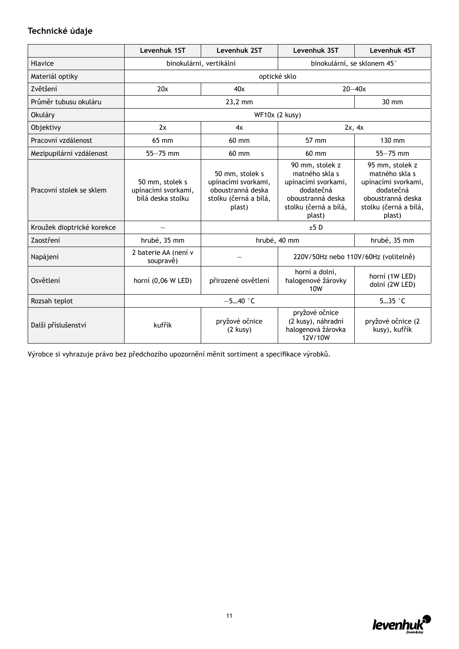### **Technické údaje**

|                            | Levenhuk 1ST                                                | Levenhuk 2ST                                                                                   | Levenhuk 3ST                                                                                                                  | Levenhuk 4ST                                                                                                                  |
|----------------------------|-------------------------------------------------------------|------------------------------------------------------------------------------------------------|-------------------------------------------------------------------------------------------------------------------------------|-------------------------------------------------------------------------------------------------------------------------------|
| Hlavice                    | binokulárni, vertikální                                     |                                                                                                | binokulární, se sklonem 45°                                                                                                   |                                                                                                                               |
| Materiál optiky            |                                                             |                                                                                                | optické sklo                                                                                                                  |                                                                                                                               |
| Zvětšení                   | 20x                                                         | 40x                                                                                            |                                                                                                                               | $20 - 40x$                                                                                                                    |
| Průměr tubusu okuláru      |                                                             | 23,2 mm                                                                                        |                                                                                                                               | 30 mm                                                                                                                         |
| Okuláry                    |                                                             |                                                                                                | WF10x (2 kusy)                                                                                                                |                                                                                                                               |
| Objektivy                  | 2x                                                          | 4x                                                                                             |                                                                                                                               | 2x, 4x                                                                                                                        |
| Pracovní vzdálenost        | 65 mm                                                       | 60 mm                                                                                          | 57 mm                                                                                                                         | 130 mm                                                                                                                        |
| Mezipupilární vzdálenost   | $55 - 75$ mm                                                | $60$ mm                                                                                        | $60 \text{ mm}$                                                                                                               | $55 - 75$ mm                                                                                                                  |
| Pracovní stolek se sklem   | 50 mm, stolek s<br>upínacími svorkami,<br>bílá deska stolku | 50 mm, stolek s<br>upínacími svorkami,<br>oboustranná deska<br>stolku (černá a bílá,<br>plast) | 90 mm, stolek z<br>matného skla s<br>upínacími svorkami,<br>dodatečná<br>oboustranná deska<br>stolku (černá a bílá,<br>plast) | 95 mm, stolek z<br>matného skla s<br>upínacími svorkami,<br>dodatečná<br>oboustranná deska<br>stolku (černá a bílá,<br>plast) |
| Kroužek dioptrické korekce |                                                             |                                                                                                | $±5$ D                                                                                                                        |                                                                                                                               |
| Zaostření                  | hrubé, 35 mm                                                |                                                                                                | hrubé, 40 mm                                                                                                                  | hrubé, 35 mm                                                                                                                  |
| Napájení                   | 2 baterie AA (není v<br>soupravě)                           |                                                                                                | 220V/50Hz nebo 110V/60Hz (volitelně)                                                                                          |                                                                                                                               |
| Osvětlení                  | horní (0,06 W LED)                                          | přirozené osvětlení                                                                            | horní a dolní,<br>halogenové žárovky<br>10W                                                                                   | horní (1W LED)<br>dolní (2W LED)                                                                                              |
| Rozsah teplot              | $-540$ °C                                                   |                                                                                                |                                                                                                                               | $535$ $°C$                                                                                                                    |
| Další příslušenství        | kufřík                                                      | pryžové očnice<br>$(2$ kusy $)$                                                                | pryžové očnice<br>(2 kusy), náhradní<br>halogenová žárovka<br>12V/10W                                                         | pryžové očnice (2<br>kusy), kufřík                                                                                            |

Výrobce si vyhrazuje právo bez předchozího upozornění měnit sortiment a specifikace výrobků.

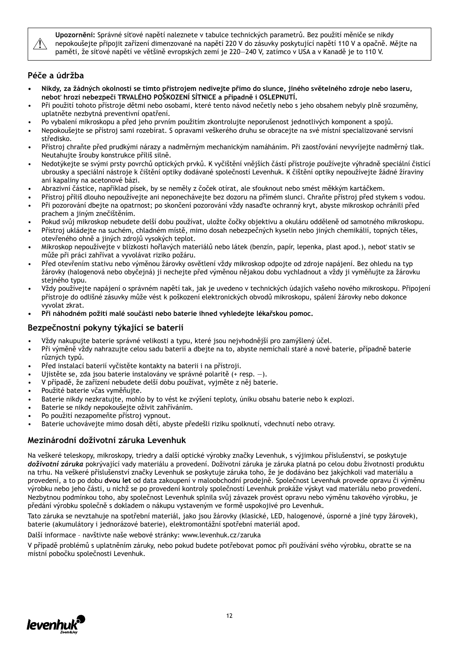

**Upozornění:** Správné síťové napětí naleznete v tabulce technických parametrů. Bez použití měniče se nikdy nepokoušejte připojit zařízení dimenzované na napětí 220 V do zásuvky poskytující napětí 110 V a opačně. Mějte na paměti, že síťové napětí ve většině evropských zemí je 220—240 V, zatímco v USA a v Kanadě je to 110 V.

### **Péče a údržba**

- **• Nikdy, za žádných okolností se tímto přístrojem nedívejte přímo do slunce, jiného světelného zdroje nebo laseru, neboť hrozí nebezpečí TRVALÉHO POŠKOZENÍ SÍTNICE a případně i OSLEPNUTÍ.**
- Při použití tohoto přístroje dětmi nebo osobami, které tento návod nečetly nebo s jeho obsahem nebyly plně srozuměny, uplatněte nezbytná preventivní opatření.
- Po vybalení mikroskopu a před jeho prvním použitím zkontrolujte neporušenost jednotlivých komponent a spojů.
- Nepokoušejte se přístroj sami rozebírat. S opravami veškerého druhu se obracejte na své místní specializované servisní středisko.
- Přístroj chraňte před prudkými nárazy a nadměrným mechanickým namáháním. Při zaostřování nevyvíjejte nadměrný tlak. Neutahujte šrouby konstrukce příliš silně.
- Nedotýkejte se svými prsty povrchů optických prvků. K vyčištění vnějších částí přístroje používejte výhradně speciální čisticí ubrousky a speciální nástroje k čištění optiky dodávané společností Levenhuk. K čištění optiky nepoužívejte žádné žíraviny ani kapaliny na acetonové bázi.
- Abrazivní částice, například písek, by se neměly z čoček otírat, ale sfouknout nebo smést měkkým kartáčkem.
- Přístroj příliš dlouho nepoužívejte ani neponechávejte bez dozoru na přímém slunci. Chraňte přístroj před stykem s vodou. • Při pozorování dbejte na opatrnost; po skončení pozorování vždy nasaďte ochranný kryt, abyste mikroskop ochránili před prachem a jiným znečištěním.
- Pokud svůj mikroskop nebudete delší dobu používat, uložte čočky objektivu a okuláru odděleně od samotného mikroskopu.
- Přístroj ukládejte na suchém, chladném místě, mimo dosah nebezpečných kyselin nebo jiných chemikálií, topných těles, otevřeného ohně a jiných zdrojů vysokých teplot.
- Mikroskop nepoužívejte v blízkosti hořlavých materiálů nebo látek (benzín, papír, lepenka, plast apod.), neboť stativ se může při práci zahřívat a vyvolávat riziko požáru.
- Před otevřením stativu nebo výměnou žárovky osvětlení vždy mikroskop odpojte od zdroje napájení. Bez ohledu na typ žárovky (halogenová nebo obyčejná) ji nechejte před výměnou nějakou dobu vychladnout a vždy ji vyměňujte za žárovku stejného typu.
- Vždy používejte napájení o správném napětí tak, jak je uvedeno v technických údajích vašeho nového mikroskopu. Připojení přístroje do odlišné zásuvky může vést k poškození elektronických obvodů mikroskopu, spálení žárovky nebo dokonce vyvolat zkrat.
- **• Při náhodném požití malé součásti nebo baterie ihned vyhledejte lékařskou pomoc.**

### **Bezpečnostní pokyny týkající se baterií**

- Vždy nakupujte baterie správné velikosti a typu, které jsou nejvhodnější pro zamýšlený účel.
- Při výměně vždy nahrazujte celou sadu baterií a dbejte na to, abyste nemíchali staré a nové baterie, případně baterie různých typů.
- Před instalací baterií vyčistěte kontakty na baterii i na přístroji.
- Ujistěte se, zda jsou baterie instalovány ve správné polaritě (+ resp. –).
- V případě, že zařízení nebudete delší dobu používat, vyjměte z něj baterie.
- Použité baterie včas vyměňujte.
- Baterie nikdy nezkratujte, mohlo by to vést ke zvýšení teploty, úniku obsahu baterie nebo k explozi.
- Baterie se nikdy nepokoušejte oživit zahříváním.
- Po použití nezapomeňte přístroj vypnout.
- Baterie uchovávejte mimo dosah dětí, abyste předešli riziku spolknutí, vdechnutí nebo otravy.

### **Mezinárodní doživotní záruka Levenhuk**

Na veškeré teleskopy, mikroskopy, triedry a další optické výrobky značky Levenhuk, s výjimkou příslušenství, se poskytuje *doživotní záruka* pokrývající vady materiálu a provedení. Doživotní záruka je záruka platná po celou dobu životnosti produktu na trhu. Na veškeré příslušenství značky Levenhuk se poskytuje záruka toho, že je dodáváno bez jakýchkoli vad materiálu a provedení, a to po dobu **dvou let** od data zakoupení v maloobchodní prodejně. Společnost Levenhuk provede opravu či výměnu výrobku nebo jeho části, u nichž se po provedení kontroly společností Levenhuk prokáže výskyt vad materiálu nebo provedení. Nezbytnou podmínkou toho, aby společnost Levenhuk splnila svůj závazek provést opravu nebo výměnu takového výrobku, je předání výrobku společně s dokladem o nákupu vystaveným ve formě uspokojivé pro Levenhuk.

Tato záruka se nevztahuje na spotřební materiál, jako jsou žárovky (klasické, LED, halogenové, úsporné a jiné typy žárovek), baterie (akumulátory i jednorázové baterie), elektromontážní spotřební materiál apod.

Další informace – navštivte naše webové stránky: www.levenhuk.cz/zaruka

V případě problémů s uplatněním záruky, nebo pokud budete potřebovat pomoc při používání svého výrobku, obraťte se na místní pobočku společnosti Levenhuk.

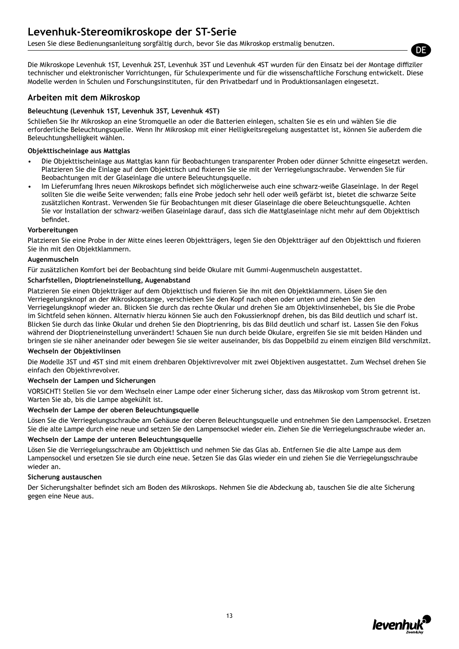### **Levenhuk-Stereomikroskope der ST-Serie**

Lesen Sie diese Bedienungsanleitung sorgfältig durch, bevor Sie das Mikroskop erstmalig benutzen.

Die Mikroskope Levenhuk 1ST, Levenhuk 2ST, Levenhuk 3ST und Levenhuk 4ST wurden für den Einsatz bei der Montage diffiziler technischer und elektronischer Vorrichtungen, für Schulexperimente und für die wissenschaftliche Forschung entwickelt. Diese Modelle werden in Schulen und Forschungsinstituten, für den Privatbedarf und in Produktionsanlagen eingesetzt.

#### **Arbeiten mit dem Mikroskop**

#### **Beleuchtung (Levenhuk 1ST, Levenhuk 3ST, Levenhuk 4ST)**

Schließen Sie Ihr Mikroskop an eine Stromquelle an oder die Batterien einlegen, schalten Sie es ein und wählen Sie die erforderliche Beleuchtungsquelle. Wenn Ihr Mikroskop mit einer Helligkeitsregelung ausgestattet ist, können Sie außerdem die Beleuchtungshelligkeit wählen.

#### **Objekttischeinlage aus Mattglas**

- Die Objekttischeinlage aus Mattglas kann für Beobachtungen transparenter Proben oder dünner Schnitte eingesetzt werden. Platzieren Sie die Einlage auf dem Objekttisch und fixieren Sie sie mit der Verriegelungsschraube. Verwenden Sie für Beobachtungen mit der Glaseinlage die untere Beleuchtungsquelle.
- Im Lieferumfang Ihres neuen Mikroskops befindet sich möglicherweise auch eine schwarz-weiße Glaseinlage. In der Regel sollten Sie die weiße Seite verwenden; falls eine Probe jedoch sehr hell oder weiß gefärbt ist, bietet die schwarze Seite zusätzlichen Kontrast. Verwenden Sie für Beobachtungen mit dieser Glaseinlage die obere Beleuchtungsquelle. Achten Sie vor Installation der schwarz-weißen Glaseinlage darauf, dass sich die Mattglaseinlage nicht mehr auf dem Objekttisch befindet.

#### **Vorbereitungen**

Platzieren Sie eine Probe in der Mitte eines leeren Objektträgers, legen Sie den Objektträger auf den Objekttisch und fixieren Sie ihn mit den Objektklammern.

#### **Augenmuscheln**

Für zusätzlichen Komfort bei der Beobachtung sind beide Okulare mit Gummi-Augenmuscheln ausgestattet.

#### **Scharfstellen, Dioptrieneinstellung, Augenabstand**

Platzieren Sie einen Objektträger auf dem Objekttisch und fixieren Sie ihn mit den Objektklammern. Lösen Sie den Verriegelungsknopf an der Mikroskopstange, verschieben Sie den Kopf nach oben oder unten und ziehen Sie den Verriegelungsknopf wieder an. Blicken Sie durch das rechte Okular und drehen Sie am Objektivlinsenhebel, bis Sie die Probe im Sichtfeld sehen können. Alternativ hierzu können Sie auch den Fokussierknopf drehen, bis das Bild deutlich und scharf ist. Blicken Sie durch das linke Okular und drehen Sie den Dioptrienring, bis das Bild deutlich und scharf ist. Lassen Sie den Fokus während der Dioptrieneinstellung unverändert! Schauen Sie nun durch beide Okulare, ergreifen Sie sie mit beiden Händen und bringen sie sie näher aneinander oder bewegen Sie sie weiter auseinander, bis das Doppelbild zu einem einzigen Bild verschmilzt.

#### **Wechseln der Objektivlinsen**

Die Modelle 3ST und 4ST sind mit einem drehbaren Objektivrevolver mit zwei Objektiven ausgestattet. Zum Wechsel drehen Sie einfach den Objektivrevolver.

#### **Wechseln der Lampen und Sicherungen**

VORSICHT! Stellen Sie vor dem Wechseln einer Lampe oder einer Sicherung sicher, dass das Mikroskop vom Strom getrennt ist. Warten Sie ab, bis die Lampe abgekühlt ist.

#### **Wechseln der Lampe der oberen Beleuchtungsquelle**

Lösen Sie die Verriegelungsschraube am Gehäuse der oberen Beleuchtungsquelle und entnehmen Sie den Lampensockel. Ersetzen Sie die alte Lampe durch eine neue und setzen Sie den Lampensockel wieder ein. Ziehen Sie die Verriegelungsschraube wieder an.

#### **Wechseln der Lampe der unteren Beleuchtungsquelle**

Lösen Sie die Verriegelungsschraube am Objekttisch und nehmen Sie das Glas ab. Entfernen Sie die alte Lampe aus dem Lampensockel und ersetzen Sie sie durch eine neue. Setzen Sie das Glas wieder ein und ziehen Sie die Verriegelungsschraube wieder an.

#### **Sicherung austauschen**

Der Sicherungshalter befindet sich am Boden des Mikroskops. Nehmen Sie die Abdeckung ab, tauschen Sie die alte Sicherung gegen eine Neue aus.



DE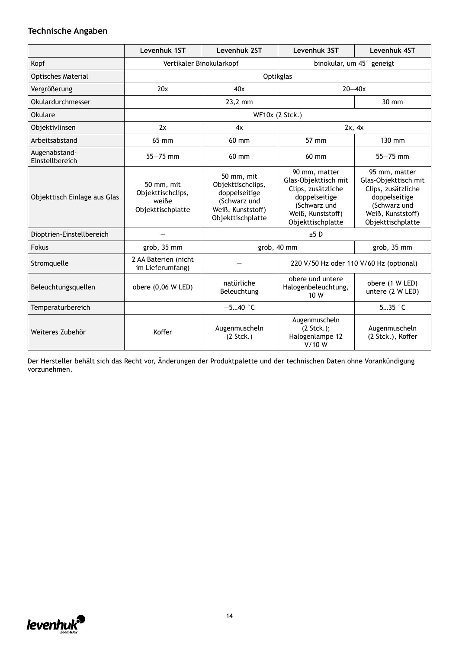### **Technische Angaben**

|                                  | Levenhuk 1ST                                                  | Levenhuk 2ST                                                                                               | Levenhuk 3ST                                                                                                                           | Levenhuk 4ST                                                                                                                           |
|----------------------------------|---------------------------------------------------------------|------------------------------------------------------------------------------------------------------------|----------------------------------------------------------------------------------------------------------------------------------------|----------------------------------------------------------------------------------------------------------------------------------------|
| Kopf                             | Vertikaler Binokularkopf                                      |                                                                                                            | binokular, um 45° geneigt                                                                                                              |                                                                                                                                        |
| <b>Optisches Material</b>        |                                                               |                                                                                                            | Optikglas                                                                                                                              |                                                                                                                                        |
| Vergrößerung                     | 20x                                                           | 40x                                                                                                        |                                                                                                                                        | $20 - 40x$                                                                                                                             |
| Okulardurchmesser                |                                                               | 23,2 mm                                                                                                    |                                                                                                                                        | 30 mm                                                                                                                                  |
| Okulare                          |                                                               |                                                                                                            | WF10x (2 Stck.)                                                                                                                        |                                                                                                                                        |
| Objektivlinsen                   | 2x                                                            | 4x                                                                                                         |                                                                                                                                        | 2x, 4x                                                                                                                                 |
| Arbeitsabstand                   | 65 mm                                                         | 60 mm                                                                                                      | 57 mm                                                                                                                                  | 130 mm                                                                                                                                 |
| Augenabstand-<br>Einstellbereich | $55 - 75$ mm                                                  | 60 mm                                                                                                      | 60 mm                                                                                                                                  | $55 - 75$ mm                                                                                                                           |
| Objekttisch Einlage aus Glas     | 50 mm, mit<br>Objekttischclips,<br>weiße<br>Objekttischplatte | 50 mm, mit<br>Objekttischclips,<br>doppelseitige<br>(Schwarz und<br>Weiß, Kunststoff)<br>Objekttischplatte | 90 mm, matter<br>Glas-Objekttisch mit<br>Clips, zusätzliche<br>doppelseitige<br>(Schwarz und<br>Weiß, Kunststoff)<br>Objekttischplatte | 95 mm, matter<br>Glas-Objekttisch mit<br>Clips, zusätzliche<br>doppelseitige<br>(Schwarz und<br>Weiß, Kunststoff)<br>Objekttischplatte |
| Dioptrien-Einstellbereich        |                                                               |                                                                                                            | ±5D                                                                                                                                    |                                                                                                                                        |
| Fokus                            | grob, 35 mm                                                   |                                                                                                            | grob, 40 mm                                                                                                                            | grob, 35 mm                                                                                                                            |
| Stromquelle                      | 2 AA Baterien (nicht<br>im Lieferumfang)                      |                                                                                                            | 220 V/50 Hz oder 110 V/60 Hz (optional)                                                                                                |                                                                                                                                        |
| Beleuchtungsquellen              | obere (0,06 W LED)                                            | natürliche<br>Beleuchtung                                                                                  | obere und untere<br>Halogenbeleuchtung,<br>10 W                                                                                        | obere (1 W LED)<br>untere (2 W LED)                                                                                                    |
| Temperaturbereich                |                                                               | $-540$ °C                                                                                                  |                                                                                                                                        | $535$ $\degree$ C                                                                                                                      |
| Weiteres Zubehör                 | Koffer                                                        | Augenmuscheln<br>(2 <i>Stck</i> .)                                                                         | Augenmuscheln<br>$(2 \text{Stck.})$ ;<br>Halogenlampe 12<br>V/10 W                                                                     | Augenmuscheln<br>(2 Stck.), Koffer                                                                                                     |

Der Hersteller behält sich das Recht vor, Änderungen der Produktpalette und der technischen Daten ohne Vorankündigung vorzunehmen.

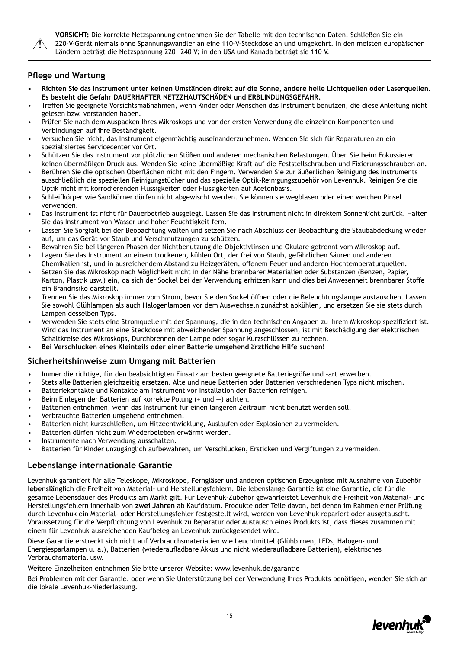

**VORSICHT:** Die korrekte Netzspannung entnehmen Sie der Tabelle mit den technischen Daten. Schließen Sie ein 220-V-Gerät niemals ohne Spannungswandler an eine 110-V-Steckdose an und umgekehrt. In den meisten europäischen Ländern beträgt die Netzspannung 220—240 V; in den USA und Kanada beträgt sie 110 V.

#### **Pflege und Wartung**

- **• Richten Sie das Instrument unter keinen Umständen direkt auf die Sonne, andere helle Lichtquellen oder Laserquellen. Es besteht die Gefahr DAUERHAFTER NETZZHAUTSCHÄDEN und ERBLINDUNGSGEFAHR.**
- Treffen Sie geeignete Vorsichtsmaßnahmen, wenn Kinder oder Menschen das Instrument benutzen, die diese Anleitung nicht gelesen bzw. verstanden haben.
- Prüfen Sie nach dem Auspacken Ihres Mikroskops und vor der ersten Verwendung die einzelnen Komponenten und Verbindungen auf ihre Beständigkeit.
- Versuchen Sie nicht, das Instrument eigenmächtig auseinanderzunehmen. Wenden Sie sich für Reparaturen an ein spezialisiertes Servicecenter vor Ort.
- Schützen Sie das Instrument vor plötzlichen Stößen und anderen mechanischen Belastungen. Üben Sie beim Fokussieren keinen übermäßigen Druck aus. Wenden Sie keine übermäßige Kraft auf die Feststellschrauben und Fixierungsschrauben an.
- Berühren Sie die optischen Oberflächen nicht mit den Fingern. Verwenden Sie zur äußerlichen Reinigung des Instruments ausschließlich die speziellen Reinigungstücher und das spezielle Optik-Reinigungszubehör von Levenhuk. Reinigen Sie die Optik nicht mit korrodierenden Flüssigkeiten oder Flüssigkeiten auf Acetonbasis.
- Schleifkörper wie Sandkörner dürfen nicht abgewischt werden. Sie können sie wegblasen oder einen weichen Pinsel verwenden.
- Das Instrument ist nicht für Dauerbetrieb ausgelegt. Lassen Sie das Instrument nicht in direktem Sonnenlicht zurück. Halten Sie das Instrument von Wasser und hoher Feuchtigkeit fern.
- Lassen Sie Sorgfalt bei der Beobachtung walten und setzen Sie nach Abschluss der Beobachtung die Staubabdeckung wieder auf, um das Gerät vor Staub und Verschmutzungen zu schützen.
- Bewahren Sie bei längeren Phasen der Nichtbenutzung die Objektivlinsen und Okulare getrennt vom Mikroskop auf.
- Lagern Sie das Instrument an einem trockenen, kühlen Ort, der frei von Staub, gefährlichen Säuren und anderen Chemikalien ist, und in ausreichendem Abstand zu Heizgeräten, offenem Feuer und anderen Hochtemperaturquellen.
- Setzen Sie das Mikroskop nach Möglichkeit nicht in der Nähe brennbarer Materialien oder Substanzen (Benzen, Papier, Karton, Plastik usw.) ein, da sich der Sockel bei der Verwendung erhitzen kann und dies bei Anwesenheit brennbarer Stoffe ein Brandrisiko darstellt.
- Trennen Sie das Mikroskop immer vom Strom, bevor Sie den Sockel öffnen oder die Beleuchtungslampe austauschen. Lassen Sie sowohl Glühlampen als auch Halogenlampen vor dem Auswechseln zunächst abkühlen, und ersetzen Sie sie stets durch Lampen desselben Typs.
- Verwenden Sie stets eine Stromquelle mit der Spannung, die in den technischen Angaben zu Ihrem Mikroskop spezifiziert ist. Wird das Instrument an eine Steckdose mit abweichender Spannung angeschlossen, ist mit Beschädigung der elektrischen Schaltkreise des Mikroskops, Durchbrennen der Lampe oder sogar Kurzschlüssen zu rechnen.
- **• Bei Verschlucken eines Kleinteils oder einer Batterie umgehend ärztliche Hilfe suchen!**

### **Sicherheitshinweise zum Umgang mit Batterien**

- Immer die richtige, für den beabsichtigten Einsatz am besten geeignete Batteriegröße und -art erwerben.
- Stets alle Batterien gleichzeitig ersetzen. Alte und neue Batterien oder Batterien verschiedenen Typs nicht mischen.
- Batteriekontakte und Kontakte am Instrument vor Installation der Batterien reinigen.
- Beim Einlegen der Batterien auf korrekte Polung (+ und -) achten.
- Batterien entnehmen, wenn das Instrument für einen längeren Zeitraum nicht benutzt werden soll.
- Verbrauchte Batterien umgehend entnehmen.
- Batterien nicht kurzschließen, um Hitzeentwicklung, Auslaufen oder Explosionen zu vermeiden.
- Batterien dürfen nicht zum Wiederbeleben erwärmt werden.
- Instrumente nach Verwendung ausschalten.
- Batterien für Kinder unzugänglich aufbewahren, um Verschlucken, Ersticken und Vergiftungen zu vermeiden.

### **Lebenslange internationale Garantie**

Levenhuk garantiert für alle Teleskope, Mikroskope, Ferngläser und anderen optischen Erzeugnisse mit Ausnahme von Zubehör **lebenslänglich** die Freiheit von Material- und Herstellungsfehlern. Die lebenslange Garantie ist eine Garantie, die für die gesamte Lebensdauer des Produkts am Markt gilt. Für Levenhuk-Zubehör gewährleistet Levenhuk die Freiheit von Material- und Herstellungsfehlern innerhalb von **zwei Jahren** ab Kaufdatum. Produkte oder Teile davon, bei denen im Rahmen einer Prüfung durch Levenhuk ein Material- oder Herstellungsfehler festgestellt wird, werden von Levenhuk repariert oder ausgetauscht. Voraussetzung für die Verpflichtung von Levenhuk zu Reparatur oder Austausch eines Produkts ist, dass dieses zusammen mit einem für Levenhuk ausreichenden Kaufbeleg an Levenhuk zurückgesendet wird.

Diese Garantie erstreckt sich nicht auf Verbrauchsmaterialien wie Leuchtmittel (Glühbirnen, LEDs, Halogen- und Energiesparlampen u. a.), Batterien (wiederaufladbare Akkus und nicht wiederaufladbare Batterien), elektrisches Verbrauchsmaterial usw.

Weitere Einzelheiten entnehmen Sie bitte unserer Website: www.levenhuk.de/garantie

Bei Problemen mit der Garantie, oder wenn Sie Unterstützung bei der Verwendung Ihres Produkts benötigen, wenden Sie sich an die lokale Levenhuk-Niederlassung.

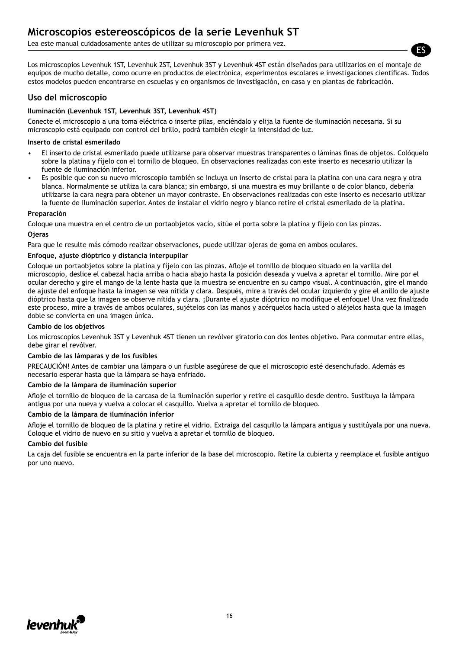Lea este manual cuidadosamente antes de utilizar su microscopio por primera vez.

Los microscopios Levenhuk 1ST, Levenhuk 2ST, Levenhuk 3ST y Levenhuk 4ST están diseñados para utilizarlos en el montaje de equipos de mucho detalle, como ocurre en productos de electrónica, experimentos escolares e investigaciones científicas. Todos estos modelos pueden encontrarse en escuelas y en organismos de investigación, en casa y en plantas de fabricación.

#### **Uso del microscopio**

#### **Iluminación (Levenhuk 1ST, Levenhuk 3ST, Levenhuk 4ST)**

Conecte el microscopio a una toma eléctrica o inserte pilas, enciéndalo y elija la fuente de iluminación necesaria. Si su microscopio está equipado con control del brillo, podrá también elegir la intensidad de luz.

#### **Inserto de cristal esmerilado**

- El inserto de cristal esmerilado puede utilizarse para observar muestras transparentes o láminas finas de objetos. Colóquelo sobre la platina y fíjelo con el tornillo de bloqueo. En observaciones realizadas con este inserto es necesario utilizar la fuente de iluminación inferior.
- Es posible que con su nuevo microscopio también se incluya un inserto de cristal para la platina con una cara negra y otra blanca. Normalmente se utiliza la cara blanca; sin embargo, si una muestra es muy brillante o de color blanco, debería utilizarse la cara negra para obtener un mayor contraste. En observaciones realizadas con este inserto es necesario utilizar la fuente de iluminación superior. Antes de instalar el vidrio negro y blanco retire el cristal esmerilado de la platina.

#### **Preparación**

Coloque una muestra en el centro de un portaobjetos vacío, sitúe el porta sobre la platina y fíjelo con las pinzas.

#### **Ojeras**

Para que le resulte más cómodo realizar observaciones, puede utilizar ojeras de goma en ambos oculares.

#### **Enfoque, ajuste dióptrico y distancia interpupilar**

Coloque un portaobjetos sobre la platina y fíjelo con las pinzas. Afloje el tornillo de bloqueo situado en la varilla del microscopio, deslice el cabezal hacia arriba o hacia abajo hasta la posición deseada y vuelva a apretar el tornillo. Mire por el ocular derecho y gire el mango de la lente hasta que la muestra se encuentre en su campo visual. A continuación, gire el mando de ajuste del enfoque hasta la imagen se vea nítida y clara. Después, mire a través del ocular izquierdo y gire el anillo de ajuste dióptrico hasta que la imagen se observe nítida y clara. ¡Durante el ajuste dióptrico no modifique el enfoque! Una vez finalizado este proceso, mire a través de ambos oculares, sujételos con las manos y acérquelos hacia usted o aléjelos hasta que la imagen doble se convierta en una imagen única.

#### **Cambio de los objetivos**

Los microscopios Levenhuk 3ST y Levenhuk 4ST tienen un revólver giratorio con dos lentes objetivo. Para conmutar entre ellas, debe girar el revólver.

#### **Cambio de las lámparas y de los fusibles**

PRECAUCIÓN! Antes de cambiar una lámpara o un fusible asegúrese de que el microscopio esté desenchufado. Además es necesario esperar hasta que la lámpara se haya enfriado.

#### **Cambio de la lámpara de iluminación superior**

Afloje el tornillo de bloqueo de la carcasa de la iluminación superior y retire el casquillo desde dentro. Sustituya la lámpara antigua por una nueva y vuelva a colocar el casquillo. Vuelva a apretar el tornillo de bloqueo.

#### **Cambio de la lámpara de iluminación inferior**

Afloje el tornillo de bloqueo de la platina y retire el vidrio. Extraiga del casquillo la lámpara antigua y sustitúyala por una nueva. Coloque el vidrio de nuevo en su sitio y vuelva a apretar el tornillo de bloqueo.

#### **Cambio del fusible**

La caja del fusible se encuentra en la parte inferior de la base del microscopio. Retire la cubierta y reemplace el fusible antiguo por uno nuevo.



ES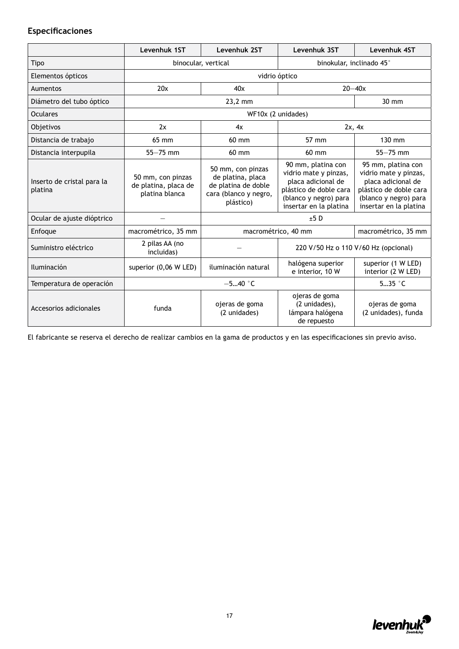### **Especificaciones**

|                                       | Levenhuk 1ST                                                | Levenhuk 2ST                                                                                        | Levenhuk 3ST                                                                                                                                   | Levenhuk 4ST                                                                                                                                   |
|---------------------------------------|-------------------------------------------------------------|-----------------------------------------------------------------------------------------------------|------------------------------------------------------------------------------------------------------------------------------------------------|------------------------------------------------------------------------------------------------------------------------------------------------|
| Tipo                                  | binocular, vertical                                         |                                                                                                     | binokular, inclinado 45°                                                                                                                       |                                                                                                                                                |
| Elementos ópticos                     |                                                             |                                                                                                     | vidrio óptico                                                                                                                                  |                                                                                                                                                |
| Aumentos                              | 20x                                                         | 40x                                                                                                 |                                                                                                                                                | $20 - 40x$                                                                                                                                     |
| Diámetro del tubo óptico              |                                                             | 23,2 mm                                                                                             |                                                                                                                                                | 30 mm                                                                                                                                          |
| <b>Oculares</b>                       |                                                             |                                                                                                     | WF10x (2 unidades)                                                                                                                             |                                                                                                                                                |
| Objetivos                             | 2x                                                          | 4x                                                                                                  |                                                                                                                                                | 2x, 4x                                                                                                                                         |
| Distancia de trabajo                  | 65 mm                                                       | $60$ mm                                                                                             | 57 mm                                                                                                                                          | 130 mm                                                                                                                                         |
| Distancia interpupila                 | $55 - 75$ mm                                                | 60 mm                                                                                               | 60 mm                                                                                                                                          | $55 - 75$ mm                                                                                                                                   |
| Inserto de cristal para la<br>platina | 50 mm, con pinzas<br>de platina, placa de<br>platina blanca | 50 mm, con pinzas<br>de platina, placa<br>de platina de doble<br>cara (blanco y negro,<br>plástico) | 90 mm, platina con<br>vidrio mate y pinzas,<br>placa adicional de<br>plástico de doble cara<br>(blanco y negro) para<br>insertar en la platina | 95 mm, platina con<br>vidrio mate y pinzas,<br>placa adicional de<br>plástico de doble cara<br>(blanco y negro) para<br>insertar en la platina |
| Ocular de ajuste dióptrico            |                                                             |                                                                                                     | ±5D                                                                                                                                            |                                                                                                                                                |
| Enfoque                               | macrométrico, 35 mm                                         |                                                                                                     | macrométrico, 40 mm                                                                                                                            | macrométrico, 35 mm                                                                                                                            |
| Suministro eléctrico                  | 2 pilas AA (no<br>incluidas)                                |                                                                                                     | 220 V/50 Hz o 110 V/60 Hz (opcional)                                                                                                           |                                                                                                                                                |
| <b>Iluminación</b>                    | superior (0,06 W LED)                                       | iluminación natural                                                                                 | halógena superior<br>e interior, 10 W                                                                                                          | superior (1 W LED)<br>interior (2 W LED)                                                                                                       |
| Temperatura de operación              |                                                             | $-540$ °C                                                                                           |                                                                                                                                                | $535$ $°C$                                                                                                                                     |
| Accesorios adicionales                | funda                                                       | ojeras de goma<br>(2 unidades)                                                                      | ojeras de goma<br>(2 unidades),<br>lámpara halógena<br>de repuesto                                                                             | ojeras de goma<br>(2 unidades), funda                                                                                                          |

El fabricante se reserva el derecho de realizar cambios en la gama de productos y en las especificaciones sin previo aviso.

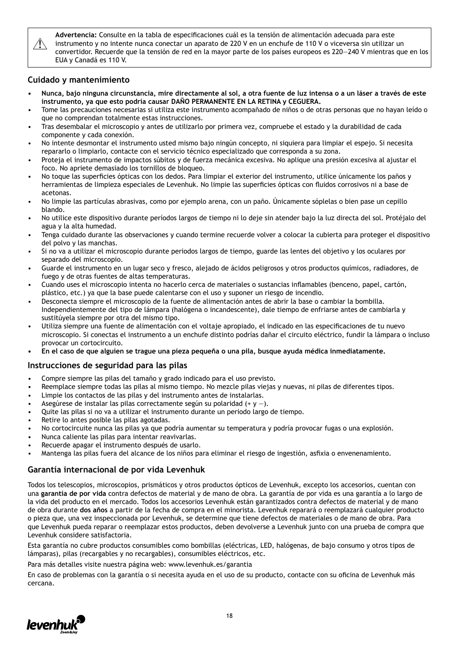$\sqrt{N}$ 

**Advertencia:** Consulte en la tabla de especificaciones cuál es la tensión de alimentación adecuada para este instrumento y no intente nunca conectar un aparato de 220 V en un enchufe de 110 V o viceversa sin utilizar un convertidor. Recuerde que la tensión de red en la mayor parte de los países europeos es 220—240 V mientras que en los EUA y Canadá es 110 V.

### **Cuidado y mantenimiento**

- **• Nunca, bajo ninguna circunstancia, mire directamente al sol, a otra fuente de luz intensa o a un láser a través de este instrumento, ya que esto podría causar DAÑO PERMANENTE EN LA RETINA y CEGUERA.**
- Tome las precauciones necesarias si utiliza este instrumento acompañado de niños o de otras personas que no hayan leído o que no comprendan totalmente estas instrucciones.
- Tras desembalar el microscopio y antes de utilizarlo por primera vez, compruebe el estado y la durabilidad de cada componente y cada conexión.
- No intente desmontar el instrumento usted mismo bajo ningún concepto, ni siquiera para limpiar el espejo. Si necesita repararlo o limpiarlo, contacte con el servicio técnico especializado que corresponda a su zona.
- Proteja el instrumento de impactos súbitos y de fuerza mecánica excesiva. No aplique una presión excesiva al ajustar el foco. No apriete demasiado los tornillos de bloqueo.
- No toque las superficies ópticas con los dedos. Para limpiar el exterior del instrumento, utilice únicamente los paños y herramientas de limpieza especiales de Levenhuk. No limpie las superficies ópticas con fluidos corrosivos ni a base de acetonas.
- No limpie las partículas abrasivas, como por ejemplo arena, con un paño. Únicamente sóplelas o bien pase un cepillo blando.
- No utilice este dispositivo durante períodos largos de tiempo ni lo deje sin atender bajo la luz directa del sol. Protéjalo del agua y la alta humedad.
- Tenga cuidado durante las observaciones y cuando termine recuerde volver a colocar la cubierta para proteger el dispositivo del polvo y las manchas.
- Si no va a utilizar el microscopio durante periodos largos de tiempo, guarde las lentes del objetivo y los oculares por separado del microscopio.
- Guarde el instrumento en un lugar seco y fresco, alejado de ácidos peligrosos y otros productos químicos, radiadores, de fuego y de otras fuentes de altas temperaturas.
- Cuando uses el microscopio intenta no hacerlo cerca de materiales o sustancias inflamables (benceno, papel, cartón, plástico, etc.) ya que la base puede calentarse con el uso y suponer un riesgo de incendio.
- Desconecta siempre el microscopio de la fuente de alimentación antes de abrir la base o cambiar la bombilla. Independientemente del tipo de lámpara (halógena o incandescente), dale tiempo de enfriarse antes de cambiarla y sustitúyela siempre por otra del mismo tipo.
- Utiliza siempre una fuente de alimentación con el voltaje apropiado, el indicado en las especificaciones de tu nuevo microscopio. Si conectas el instrumento a un enchufe distinto podrías dañar el circuito eléctrico, fundir la lámpara o incluso provocar un cortocircuito.
- **• En el caso de que alguien se trague una pieza pequeña o una pila, busque ayuda médica inmediatamente.**

### **Instrucciones de seguridad para las pilas**

- Compre siempre las pilas del tamaño y grado indicado para el uso previsto.
- Reemplace siempre todas las pilas al mismo tiempo. No mezcle pilas viejas y nuevas, ni pilas de diferentes tipos.
- Limpie los contactos de las pilas y del instrumento antes de instalarlas.
- Asegúrese de instalar las pilas correctamente según su polaridad  $(+ y -)$ .
- Quite las pilas si no va a utilizar el instrumento durante un periodo largo de tiempo.
- Retire lo antes posible las pilas agotadas.
- No cortocircuite nunca las pilas ya que podría aumentar su temperatura y podría provocar fugas o una explosión.
- Nunca caliente las pilas para intentar reavivarlas.
- Recuerde apagar el instrumento después de usarlo.
- Mantenga las pilas fuera del alcance de los niños para eliminar el riesgo de ingestión, asfixia o envenenamiento.

### **Garantía internacional de por vida Levenhuk**

Todos los telescopios, microscopios, prismáticos y otros productos ópticos de Levenhuk, excepto los accesorios, cuentan con una **garantía de por vida** contra defectos de material y de mano de obra. La garantía de por vida es una garantía a lo largo de la vida del producto en el mercado. Todos los accesorios Levenhuk están garantizados contra defectos de material y de mano de obra durante **dos años** a partir de la fecha de compra en el minorista. Levenhuk reparará o reemplazará cualquier producto o pieza que, una vez inspeccionada por Levenhuk, se determine que tiene defectos de materiales o de mano de obra. Para que Levenhuk pueda reparar o reemplazar estos productos, deben devolverse a Levenhuk junto con una prueba de compra que Levenhuk considere satisfactoria.

Esta garantía no cubre productos consumibles como bombillas (eléctricas, LED, halógenas, de bajo consumo y otros tipos de lámparas), pilas (recargables y no recargables), consumibles eléctricos, etc.

Para más detalles visite nuestra página web: www.levenhuk.es/garantia

En caso de problemas con la garantía o si necesita ayuda en el uso de su producto, contacte con su oficina de Levenhuk más cercana.

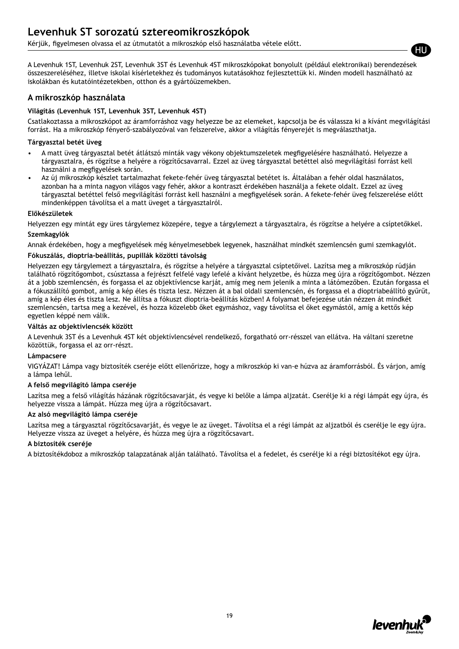### **Levenhuk ST sorozatú sztereomikroszkópok**

Kérjük, figyelmesen olvassa el az útmutatót a mikroszkóp első használatba vétele előtt.

A Levenhuk 1ST, Levenhuk 2ST, Levenhuk 3ST és Levenhuk 4ST mikroszkópokat bonyolult (például elektronikai) berendezések összeszereléséhez, illetve iskolai kísérletekhez és tudományos kutatásokhoz fejlesztettük ki. Minden modell használható az iskolákban és kutatóintézetekben, otthon és a gyártóüzemekben.

### **A mikroszkóp használata**

#### **Világítás (Levenhuk 1ST, Levenhuk 3ST, Levenhuk 4ST)**

Csatlakoztassa a mikroszkópot az áramforráshoz vagy helyezze be az elemeket, kapcsolja be és válassza ki a kívánt megvilágítási forrást. Ha a mikroszkóp fényerő-szabályozóval van felszerelve, akkor a világítás fényerejét is megválaszthatja.

#### **Tárgyasztal betét üveg**

- A matt üveg tárgyasztal betét átlátszó minták vagy vékony objektumszeletek megfigyelésére használható. Helyezze a tárgyasztalra, és rögzítse a helyére a rögzítőcsavarral. Ezzel az üveg tárgyasztal betéttel alsó megvilágítási forrást kell használni a megfigyelések során.
- Az új mikroszkóp készlet tartalmazhat fekete-fehér üveg tárgyasztal betétet is. Általában a fehér oldal használatos, azonban ha a minta nagyon világos vagy fehér, akkor a kontraszt érdekében használja a fekete oldalt. Ezzel az üveg tárgyasztal betéttel felső megvilágítási forrást kell használni a megfigyelések során. A fekete-fehér üveg felszerelése előtt mindenképpen távolítsa el a matt üveget a tárgyasztalról.

#### **Előkészületek**

Helyezzen egy mintát egy üres tárgylemez közepére, tegye a tárgylemezt a tárgyasztalra, és rögzítse a helyére a csíptetőkkel.

#### **Szemkagylók**

Annak érdekében, hogy a megfigyelések még kényelmesebbek legyenek, használhat mindkét szemlencsén gumi szemkagylót.

#### **Fókuszálás, dioptria-beállítás, pupillák közötti távolság**

Helyezzen egy tárgylemezt a tárgyasztalra, és rögzítse a helyére a tárgyasztal csíptetőivel. Lazítsa meg a mikroszkóp rúdján található rögzítőgombot, csúsztassa a fejrészt felfelé vagy lefelé a kívánt helyzetbe, és húzza meg újra a rögzítőgombot. Nézzen át a jobb szemlencsén, és forgassa el az objektívlencse karját, amíg meg nem jelenik a minta a látómezőben. Ezután forgassa el a fókuszállító gombot, amíg a kép éles és tiszta lesz. Nézzen át a bal oldali szemlencsén, és forgassa el a dioptriabeállító gyűrűt, amíg a kép éles és tiszta lesz. Ne állítsa a fókuszt dioptria-beállítás közben! A folyamat befejezése után nézzen át mindkét szemlencsén, tartsa meg a kezével, és hozza közelebb őket egymáshoz, vagy távolítsa el őket egymástól, amíg a kettős kép egyetlen képpé nem válik.

#### **Váltás az objektívlencsék között**

A Levenhuk 3ST és a Levenhuk 4ST két objektívlencsével rendelkező, forgatható orr-résszel van ellátva. Ha váltani szeretne közöttük, forgassa el az orr-részt.

#### **Lámpacsere**

VIGYÁZAT! Lámpa vagy biztosíték cseréje előtt ellenőrizze, hogy a mikroszkóp ki van-e húzva az áramforrásból. És várjon, amíg a lámpa lehűl.

#### **A felső megvilágító lámpa cseréje**

Lazítsa meg a felső világítás házának rögzítőcsavarját, és vegye ki belőle a lámpa aljzatát. Cserélje ki a régi lámpát egy újra, és helyezze vissza a lámpát. Húzza meg újra a rögzítőcsavart.

#### **Az alsó megvilágító lámpa cseréje**

Lazítsa meg a tárgyasztal rögzítőcsavarját, és vegye le az üveget. Távolítsa el a régi lámpát az aljzatból és cserélje le egy újra. Helyezze vissza az üveget a helyére, és húzza meg újra a rögzítőcsavart.

#### **A biztosíték cseréje**

A biztosítékdoboz a mikroszkóp talapzatának alján található. Távolítsa el a fedelet, és cserélje ki a régi biztosítékot egy újra.



HU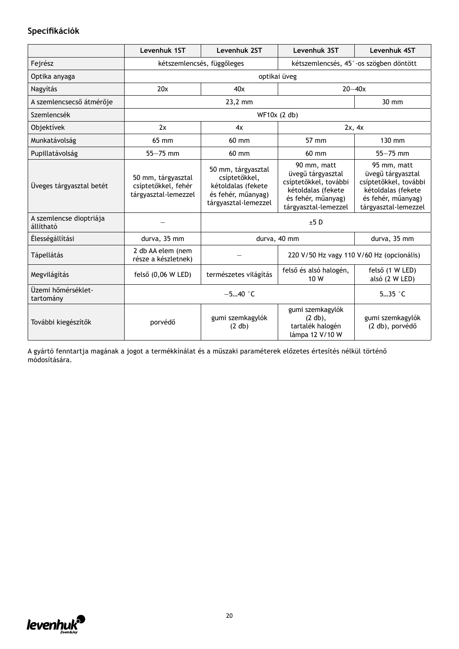### **Specifikációk**

|                                      | Levenhuk 1ST                                                      | Levenhuk 2ST                                                                                            | Levenhuk 3ST                                                                                                                  | Levenhuk 4ST                                                                                                                  |
|--------------------------------------|-------------------------------------------------------------------|---------------------------------------------------------------------------------------------------------|-------------------------------------------------------------------------------------------------------------------------------|-------------------------------------------------------------------------------------------------------------------------------|
| Fejrész                              |                                                                   | kétszemlencsés, függőleges                                                                              |                                                                                                                               | kétszemlencsés, 45°-os szögben döntött                                                                                        |
| Optika anyaga                        |                                                                   |                                                                                                         | optikai üveg                                                                                                                  |                                                                                                                               |
| Nagyítás                             | 20x                                                               | 40x                                                                                                     |                                                                                                                               | $20 - 40x$                                                                                                                    |
| A szemlencsecső átmérője             |                                                                   | 23,2 mm                                                                                                 |                                                                                                                               | $30 \text{ mm}$                                                                                                               |
| Szemlencsék                          |                                                                   |                                                                                                         | WF10x (2 db)                                                                                                                  |                                                                                                                               |
| Objektívek                           | 2x                                                                | 4x                                                                                                      |                                                                                                                               | 2x, 4x                                                                                                                        |
| Munkatávolság                        | 65 mm                                                             | $60 \text{ mm}$                                                                                         | 57 mm                                                                                                                         | 130 mm                                                                                                                        |
| Pupillatávolság                      | $55 - 75$ mm                                                      | 60 mm                                                                                                   | 60 mm                                                                                                                         | $55 - 75$ mm                                                                                                                  |
| Üveges tárgyasztal betét             | 50 mm, tárgyasztal<br>csíptetőkkel, fehér<br>tárgyasztal-lemezzel | 50 mm, tárgyasztal<br>csíptetőkkel,<br>kétoldalas (fekete<br>és fehér, műanyag)<br>tárgyasztal-lemezzel | 90 mm, matt<br>üvegű tárgyasztal<br>csíptetőkkel, további<br>kétoldalas (fekete<br>és fehér, műanyag)<br>tárgyasztal-lemezzel | 95 mm, matt<br>üvegű tárgyasztal<br>csíptetőkkel, további<br>kétoldalas (fekete<br>és fehér, műanyag)<br>tárgyasztal-lemezzel |
| A szemlencse dioptriája<br>állítható |                                                                   |                                                                                                         | ±5D                                                                                                                           |                                                                                                                               |
| Élességállítási                      | durva, 35 mm                                                      |                                                                                                         | durva, 40 mm                                                                                                                  | durva, 35 mm                                                                                                                  |
| <b>Tápellátás</b>                    | 2 db AA elem (nem<br>része a készletnek)                          |                                                                                                         | 220 V/50 Hz vagy 110 V/60 Hz (opcionális)                                                                                     |                                                                                                                               |
| Megvilágítás                         | felső (0,06 W LED)                                                | természetes világítás                                                                                   | felső és alsó halogén,<br>10 W                                                                                                | felső (1 W LED)<br>alsó (2 W LED)                                                                                             |
| Üzemi hőmérséklet-<br>tartomány      |                                                                   | $-540$ °C                                                                                               |                                                                                                                               |                                                                                                                               |
| További kiegészítők                  | porvédő                                                           | gumi szemkagylók<br>(2 db)                                                                              | gumi szemkagylók<br>$(2 db)$ ,<br>tartalék halogén<br>lámpa 12 V/10 W                                                         | gumi szemkagylók<br>(2 db), porvédő                                                                                           |

A gyártó fenntartja magának a jogot a termékkínálat és a műszaki paraméterek előzetes értesítés nélkül történő módosítására.

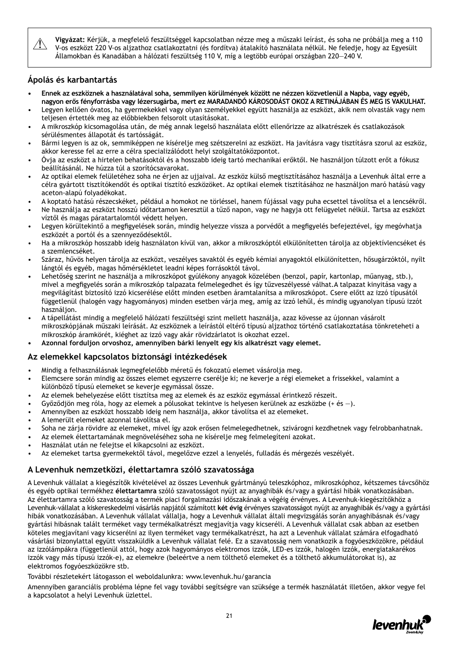Vi**gyázat:** Kérjük, a megfelelő feszültséggel kapcsolatban nézze meg a műszaki leírást, és soha ne próbálja meg a 110<br>V-os eszközt 220 V-os aljzathoz csatlakoztatni (és fordítva) átalakító használata nélkül. Ne feledje, ho Államokban és Kanadában a hálózati feszültség 110 V, míg a legtöbb európai országban 220—240 V.

### **Ápolás és karbantartás**

- **• Ennek az eszköznek a használatával soha, semmilyen körülmények között ne nézzen közvetlenül a Napba, vagy egyéb, nagyon erős fényforrásba vagy lézersugárba, mert ez MARADANDÓ KÁROSODÁST OKOZ A RETINÁJÁBAN ÉS MEG IS VAKULHAT.**
- Legyen kellően óvatos, ha gyermekekkel vagy olyan személyekkel együtt használja az eszközt, akik nem olvasták vagy nem teljesen értették meg az előbbiekben felsorolt utasításokat.
- A mikroszkóp kicsomagolása után, de még annak legelső használata előtt ellenőrizze az alkatrészek és csatlakozások sérülésmentes állapotát és tartósságát.
- Bármi legyen is az ok, semmiképpen ne kísérelje meg szétszerelni az eszközt. Ha javításra vagy tisztításra szorul az eszköz, akkor keresse fel az erre a célra specializálódott helyi szolgáltatóközpontot.
- Óvja az eszközt a hirtelen behatásoktól és a hosszabb ideig tartó mechanikai erőktől. Ne használjon túlzott erőt a fókusz beállításánál. Ne húzza túl a szorítócsavarokat.
- Az optikai elemek felületéhez soha ne érjen az ujjaival. Az eszköz külső megtisztításához használja a Levenhuk által erre a célra gyártott tisztítókendőt és optikai tisztító eszközöket. Az optikai elemek tisztításához ne használjon maró hatású vagy aceton-alapú folyadékokat.
- A koptató hatású részecskéket, például a homokot ne törléssel, hanem fújással vagy puha ecsettel távolítsa el a lencsékről.
- Ne használja az eszközt hosszú időtartamon keresztül a tűző napon, vagy ne hagyja ott felügyelet nélkül. Tartsa az eszközt víztől és magas páratartalomtól védett helyen.
- Legyen körültekintő a megfigyelések során, mindig helyezze vissza a porvédőt a megfigyelés befejeztével, így megóvhatja eszközét a portól és a szennyeződésektől.
- Ha a mikroszkóp hosszabb ideig használaton kívül van, akkor a mikroszkóptól elkülönítetten tárolja az objektívlencséket és a szemlencséket.
- Száraz, hűvös helyen tárolja az eszközt, veszélyes savaktól és egyéb kémiai anyagoktól elkülönítetten, hősugárzóktól, nyílt lángtól és egyéb, magas hőmérsékletet leadni képes forrásoktól távol.
- Lehetőség szerint ne használja a mikroszkópot gyúlékony anyagok közelében (benzol, papír, kartonlap, műanyag, stb.), mivel a megfigyelés során a mikroszkóp talpazata felmelegedhet és így tűzveszélyessé válhat.A talpazat kinyitása vagy a megvilágítást biztosító izzó kicserélése előtt minden esetben áramtalanítsa a mikroszkópot. Csere előtt az izzó típusától függetlenül (halogén vagy hagyományos) minden esetben várja meg, amíg az izzó lehűl, és mindig ugyanolyan típusú izzót használion.
- A tápellátást mindig a megfelelő hálózati feszültségi szint mellett használja, azaz kövesse az újonnan vásárolt mikroszkópjának műszaki leírását. Az eszköznek a leírástól eltérő típusú aljzathoz történő csatlakoztatása tönkreteheti a mikroszkóp áramkörét, kiéghet az izzó vagy akár rövidzárlatot is okozhat ezzel.
- **• Azonnal forduljon orvoshoz, amennyiben bárki lenyelt egy kis alkatrészt vagy elemet.**

### **Az elemekkel kapcsolatos biztonsági intézkedések**

- Mindig a felhasználásnak legmegfelelőbb méretű és fokozatú elemet vásárolja meg.
- Elemcsere során mindig az összes elemet egyszerre cserélje ki; ne keverje a régi elemeket a frissekkel, valamint a különböző típusú elemeket se keverje egymással össze.
- Az elemek behelyezése előtt tisztítsa meg az elemek és az eszköz egymással érintkező részeit.
- Győződjön meg róla, hogy az elemek a pólusokat tekintve is helyesen kerülnek az eszközbe (+ és —).
- Amennyiben az eszközt hosszabb ideig nem használja, akkor távolítsa el az elemeket.
- A lemerült elemeket azonnal távolítsa el.
- Soha ne zárja rövidre az elemeket, mivel így azok erősen felmelegedhetnek, szivárogni kezdhetnek vagy felrobbanhatnak.
- Az elemek élettartamának megnöveléséhez soha ne kísérelje meg felmelegíteni azokat.
- Használat után ne felejtse el kikapcsolni az eszközt.
- Az elemeket tartsa gyermekektől távol, megelőzve ezzel a lenyelés, fulladás és mérgezés veszélyét.

### **A Levenhuk nemzetközi, élettartamra szóló szavatossága**

A Levenhuk vállalat a kiegészítők kivételével az összes Levenhuk gyártmányú teleszkóphoz, mikroszkóphoz, kétszemes távcsőhöz és egyéb optikai termékhez **élettartamra** szóló szavatosságot nyújt az anyaghibák és/vagy a gyártási hibák vonatkozásában. Az élettartamra szóló szavatosság a termék piaci forgalmazási időszakának a végéig érvényes. A Levenhuk-kiegészítőkhöz a Levenhuk-vállalat a kiskereskedelmi vásárlás napjától számított **két évig** érvényes szavatosságot nyújt az anyaghibák és/vagy a gyártási hibák vonatkozásában. A Levenhuk vállalat vállalja, hogy a Levenhuk vállalat általi megvizsgálás során anyaghibásnak és/vagy gyártási hibásnak talált terméket vagy termékalkatrészt megjavítja vagy kicseréli. A Levenhuk vállalat csak abban az esetben köteles megjavítani vagy kicserélni az ilyen terméket vagy termékalkatrészt, ha azt a Levenhuk vállalat számára elfogadható vásárlási bizonylattal együtt visszaküldik a Levenhuk vállalat felé. Ez a szavatosság nem vonatkozik a fogyóeszközökre, például az izzólámpákra (függetlenül attól, hogy azok hagyományos elektromos izzók, LED-es izzók, halogén izzók, energiatakarékos izzók vagy más típusú izzók-e), az elemekre (beleértve a nem tölthető elemeket és a tölthető akkumulátorokat is), az elektromos fogyóeszközökre stb.

#### További részletekért látogasson el weboldalunkra: www.levenhuk.hu/garancia

Amennyiben garanciális probléma lépne fel vagy további segítségre van szüksége a termék használatát illetően, akkor vegye fel a kapcsolatot a helyi Levenhuk üzlettel.

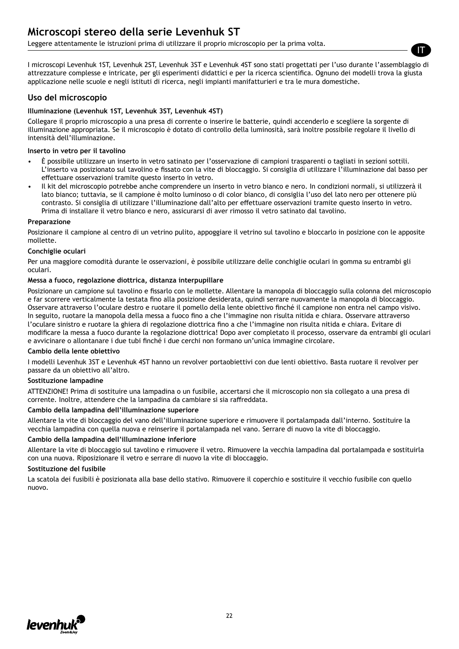### **Microscopi stereo della serie Levenhuk ST**

Leggere attentamente le istruzioni prima di utilizzare il proprio microscopio per la prima volta.

I microscopi Levenhuk 1ST, Levenhuk 2ST, Levenhuk 3ST e Levenhuk 4ST sono stati progettati per l'uso durante l'assemblaggio di attrezzature complesse e intricate, per gli esperimenti didattici e per la ricerca scientifica. Ognuno dei modelli trova la giusta applicazione nelle scuole e negli istituti di ricerca, negli impianti manifatturieri e tra le mura domestiche.

#### **Uso del microscopio**

#### **Illuminazione (Levenhuk 1ST, Levenhuk 3ST, Levenhuk 4ST)**

Collegare il proprio microscopio a una presa di corrente o inserire le batterie, quindi accenderlo e scegliere la sorgente di illuminazione appropriata. Se il microscopio è dotato di controllo della luminosità, sarà inoltre possibile regolare il livello di intensità dell'illuminazione.

#### **Inserto in vetro per il tavolino**

- È possibile utilizzare un inserto in vetro satinato per l'osservazione di campioni trasparenti o tagliati in sezioni sottili. L'inserto va posizionato sul tavolino e fissato con la vite di bloccaggio. Si consiglia di utilizzare l'illuminazione dal basso per effettuare osservazioni tramite questo inserto in vetro.
- Il kit del microscopio potrebbe anche comprendere un inserto in vetro bianco e nero. In condizioni normali, si utilizzerà il lato bianco; tuttavia, se il campione è molto luminoso o di color bianco, di consiglia l'uso del lato nero per ottenere più contrasto. Si consiglia di utilizzare l'illuminazione dall'alto per effettuare osservazioni tramite questo inserto in vetro. Prima di installare il vetro bianco e nero, assicurarsi di aver rimosso il vetro satinato dal tavolino.

#### **Preparazione**

Posizionare il campione al centro di un vetrino pulito, appoggiare il vetrino sul tavolino e bloccarlo in posizione con le apposite mollette.

#### **Conchiglie oculari**

Per una maggiore comodità durante le osservazioni, è possibile utilizzare delle conchiglie oculari in gomma su entrambi gli oculari.

#### **Messa a fuoco, regolazione diottrica, distanza interpupillare**

Posizionare un campione sul tavolino e fissarlo con le mollette. Allentare la manopola di bloccaggio sulla colonna del microscopio e far scorrere verticalmente la testata fino alla posizione desiderata, quindi serrare nuovamente la manopola di bloccaggio. Osservare attraverso l'oculare destro e ruotare il pomello della lente obiettivo finché il campione non entra nel campo visivo. In seguito, ruotare la manopola della messa a fuoco fino a che l'immagine non risulta nitida e chiara. Osservare attraverso l'oculare sinistro e ruotare la ghiera di regolazione diottrica fino a che l'immagine non risulta nitida e chiara. Evitare di modificare la messa a fuoco durante la regolazione diottrica! Dopo aver completato il processo, osservare da entrambi gli oculari e avvicinare o allontanare i due tubi finché i due cerchi non formano un'unica immagine circolare.

#### **Cambio della lente obiettivo**

I modelli Levenhuk 3ST e Levenhuk 4ST hanno un revolver portaobiettivi con due lenti obiettivo. Basta ruotare il revolver per passare da un obiettivo all'altro.

#### **Sostituzione lampadine**

ATTENZIONE! Prima di sostituire una lampadina o un fusibile, accertarsi che il microscopio non sia collegato a una presa di corrente. Inoltre, attendere che la lampadina da cambiare si sia raffreddata.

#### **Cambio della lampadina dell'illuminazione superiore**

Allentare la vite di bloccaggio del vano dell'illuminazione superiore e rimuovere il portalampada dall'interno. Sostituire la vecchia lampadina con quella nuova e reinserire il portalampada nel vano. Serrare di nuovo la vite di bloccaggio.

#### **Cambio della lampadina dell'illuminazione inferiore**

Allentare la vite di bloccaggio sul tavolino e rimuovere il vetro. Rimuovere la vecchia lampadina dal portalampada e sostituirla con una nuova. Riposizionare il vetro e serrare di nuovo la vite di bloccaggio.

#### **Sostituzione del fusibile**

La scatola dei fusibili è posizionata alla base dello stativo. Rimuovere il coperchio e sostituire il vecchio fusibile con quello nuovo.



IT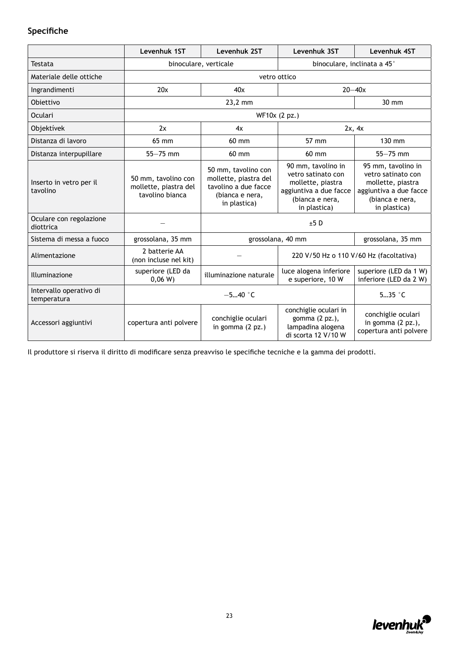### **Specifiche**

|                                        | Levenhuk 1ST                                                    | Levenhuk 2ST                                                                                            | Levenhuk 3ST                                                                                                               | Levenhuk 4ST                                                                                                               |  |  |
|----------------------------------------|-----------------------------------------------------------------|---------------------------------------------------------------------------------------------------------|----------------------------------------------------------------------------------------------------------------------------|----------------------------------------------------------------------------------------------------------------------------|--|--|
| Testata                                |                                                                 | binoculare, verticale                                                                                   |                                                                                                                            | binoculare, inclinata a 45°                                                                                                |  |  |
| Materiale delle ottiche                |                                                                 | vetro ottico                                                                                            |                                                                                                                            |                                                                                                                            |  |  |
| Ingrandimenti                          | 20x                                                             | 40x                                                                                                     |                                                                                                                            | $20 - 40x$                                                                                                                 |  |  |
| Obiettivo                              |                                                                 | 23,2 mm                                                                                                 |                                                                                                                            | $30 \text{ mm}$                                                                                                            |  |  |
| <b>Oculari</b>                         |                                                                 |                                                                                                         | WF10x (2 pz.)                                                                                                              |                                                                                                                            |  |  |
| Objektívek                             | 2x                                                              | 4x                                                                                                      |                                                                                                                            | 2x, 4x                                                                                                                     |  |  |
| Distanza di lavoro                     | 65 mm                                                           | 60 mm                                                                                                   | 57 mm                                                                                                                      | 130 mm                                                                                                                     |  |  |
| Distanza interpupillare                | $55 - 75$ mm                                                    | 60 mm                                                                                                   | 60 mm                                                                                                                      | $55 - 75$ mm                                                                                                               |  |  |
| Inserto in vetro per il<br>tavolino    | 50 mm, tavolino con<br>mollette, piastra del<br>tavolino bianca | 50 mm, tavolino con<br>mollette, piastra del<br>tavolino a due facce<br>(bianca e nera,<br>in plastica) | 90 mm, tavolino in<br>vetro satinato con<br>mollette, piastra<br>aggiuntiva a due facce<br>(bianca e nera,<br>in plastica) | 95 mm, tavolino in<br>vetro satinato con<br>mollette, piastra<br>aggiuntiva a due facce<br>(bianca e nera,<br>in plastica) |  |  |
| Oculare con regolazione<br>diottrica   |                                                                 |                                                                                                         | $±5$ D                                                                                                                     |                                                                                                                            |  |  |
| Sistema di messa a fuoco               | grossolana, 35 mm                                               |                                                                                                         | grossolana, 40 mm                                                                                                          | grossolana, 35 mm                                                                                                          |  |  |
| Alimentazione                          | 2 batterie AA<br>(non incluse nel kit)                          |                                                                                                         | 220 V/50 Hz o 110 V/60 Hz (facoltativa)                                                                                    |                                                                                                                            |  |  |
| Illuminazione                          | superiore (LED da<br>0,06 W                                     | illuminazione naturale                                                                                  | luce alogena inferiore<br>e superiore, 10 W                                                                                | superiore (LED da 1 W)<br>inferiore (LED da 2 W)                                                                           |  |  |
| Intervallo operativo di<br>temperatura |                                                                 | $-540$ °C                                                                                               |                                                                                                                            | $535$ $\degree$ C                                                                                                          |  |  |
| Accessori aggiuntivi                   | copertura anti polvere                                          | conchiglie oculari<br>in gomma (2 pz.)                                                                  | conchiglie oculari in<br>gomma (2 pz.),<br>lampadina alogena<br>di scorta 12 V/10 W                                        | conchiglie oculari<br>in gomma $(2 px.)$ ,<br>copertura anti polvere                                                       |  |  |

Il produttore si riserva il diritto di modificare senza preavviso le specifiche tecniche e la gamma dei prodotti.

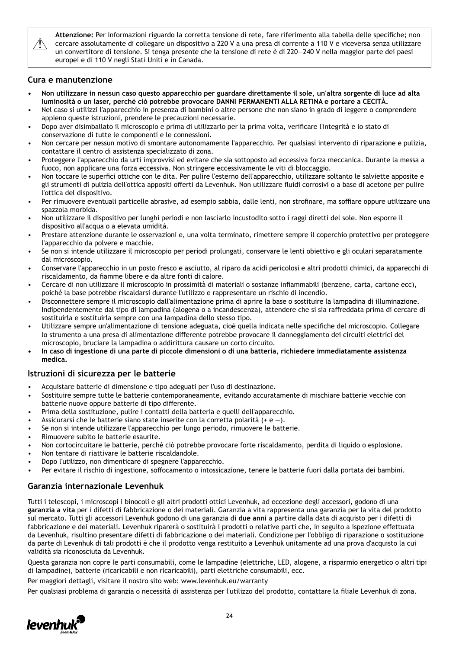$\sqrt{N}$ 

**Attenzione:** Per informazioni riguardo la corretta tensione di rete, fare riferimento alla tabella delle specifiche; non cercare assolutamente di collegare un dispositivo a 220 V a una presa di corrente a 110 V e viceversa senza utilizzare un convertitore di tensione. Si tenga presente che la tensione di rete è di 220—240 V nella maggior parte dei paesi europei e di 110 V negli Stati Uniti e in Canada.

### **Cura e manutenzione**

- **• Non utilizzare in nessun caso questo apparecchio per guardare direttamente il sole, un'altra sorgente di luce ad alta luminosità o un laser, perché ciò potrebbe provocare DANNI PERMANENTI ALLA RETINA e portare a CECITÀ.**
- Nel caso si utilizzi l'apparecchio in presenza di bambini o altre persone che non siano in grado di leggere o comprendere appieno queste istruzioni, prendere le precauzioni necessarie.
- Dopo aver disimballato il microscopio e prima di utilizzarlo per la prima volta, verificare l'integrità e lo stato di conservazione di tutte le componenti e le connessioni.
- Non cercare per nessun motivo di smontare autonomamente l'apparecchio. Per qualsiasi intervento di riparazione e pulizia, contattare il centro di assistenza specializzato di zona.
- Proteggere l'apparecchio da urti improvvisi ed evitare che sia sottoposto ad eccessiva forza meccanica. Durante la messa a fuoco, non applicare una forza eccessiva. Non stringere eccessivamente le viti di bloccaggio.
- Non toccare le superfici ottiche con le dita. Per pulire l'esterno dell'apparecchio, utilizzare soltanto le salviette apposite e gli strumenti di pulizia dell'ottica appositi offerti da Levenhuk. Non utilizzare fluidi corrosivi o a base di acetone per pulire l'ottica del dispositivo.
- Per rimuovere eventuali particelle abrasive, ad esempio sabbia, dalle lenti, non strofinare, ma soffiare oppure utilizzare una spazzola morbida.
- Non utilizzare il dispositivo per lunghi periodi e non lasciarlo incustodito sotto i raggi diretti del sole. Non esporre il dispositivo all'acqua o a elevata umidità.
- Prestare attenzione durante le osservazioni e, una volta terminato, rimettere sempre il coperchio protettivo per proteggere l'apparecchio da polvere e macchie.
- Se non si intende utilizzare il microscopio per periodi prolungati, conservare le lenti obiettivo e gli oculari separatamente dal microscopio.
- Conservare l'apparecchio in un posto fresco e asciutto, al riparo da acidi pericolosi e altri prodotti chimici, da apparecchi di riscaldamento, da fiamme libere e da altre fonti di calore.
- Cercare di non utilizzare il microscopio in prossimità di materiali o sostanze infiammabili (benzene, carta, cartone ecc), poiché la base potrebbe riscaldarsi durante l'utilizzo e rappresentare un rischio di incendio.
- Disconnettere sempre il microscopio dall'alimentazione prima di aprire la base o sostituire la lampadina di illuminazione. Indipendentemente dal tipo di lampadina (alogena o a incandescenza), attendere che si sia raffreddata prima di cercare di sostituirla e sostituirla sempre con una lampadina dello stesso tipo.
- Utilizzare sempre un'alimentazione di tensione adeguata, cioè quella indicata nelle specifiche del microscopio. Collegare lo strumento a una presa di alimentazione differente potrebbe provocare il danneggiamento dei circuiti elettrici del microscopio, bruciare la lampadina o addirittura causare un corto circuito.
- **• In caso di ingestione di una parte di piccole dimensioni o di una batteria, richiedere immediatamente assistenza medica.**

### **Istruzioni di sicurezza per le batterie**

- Acquistare batterie di dimensione e tipo adeguati per l'uso di destinazione.
- Sostituire sempre tutte le batterie contemporaneamente, evitando accuratamente di mischiare batterie vecchie con batterie nuove oppure batterie di tipo differente.
- Prima della sostituzione, pulire i contatti della batteria e quelli dell'apparecchio.
- Assicurarsi che le batterie siano state inserite con la corretta polarità  $(+e -)$ .
- Se non si intende utilizzare l'apparecchio per lungo periodo, rimuovere le batterie.
- Rimuovere subito le batterie esaurite.
- Non cortocircuitare le batterie, perché ciò potrebbe provocare forte riscaldamento, perdita di liquido o esplosione.
- Non tentare di riattivare le batterie riscaldandole.
- Dopo l'utilizzo, non dimenticare di spegnere l'apparecchio.
- Per evitare il rischio di ingestione, soffocamento o intossicazione, tenere le batterie fuori dalla portata dei bambini.

### **Garanzia internazionale Levenhuk**

Tutti i telescopi, i microscopi i binocoli e gli altri prodotti ottici Levenhuk, ad eccezione degli accessori, godono di una **garanzia a vita** per i difetti di fabbricazione o dei materiali. Garanzia a vita rappresenta una garanzia per la vita del prodotto sul mercato. Tutti gli accessori Levenhuk godono di una garanzia di **due anni** a partire dalla data di acquisto per i difetti di fabbricazione e dei materiali. Levenhuk riparerà o sostituirà i prodotti o relative parti che, in seguito a ispezione effettuata da Levenhuk, risultino presentare difetti di fabbricazione o dei materiali. Condizione per l'obbligo di riparazione o sostituzione da parte di Levenhuk di tali prodotti è che il prodotto venga restituito a Levenhuk unitamente ad una prova d'acquisto la cui validità sia riconosciuta da Levenhuk.

Questa garanzia non copre le parti consumabili, come le lampadine (elettriche, LED, alogene, a risparmio energetico o altri tipi di lampadine), batterie (ricaricabili e non ricaricabili), parti elettriche consumabili, ecc.

Per maggiori dettagli, visitare il nostro sito web: www.levenhuk.eu/warranty

Per qualsiasi problema di garanzia o necessità di assistenza per l'utilizzo del prodotto, contattare la filiale Levenhuk di zona.

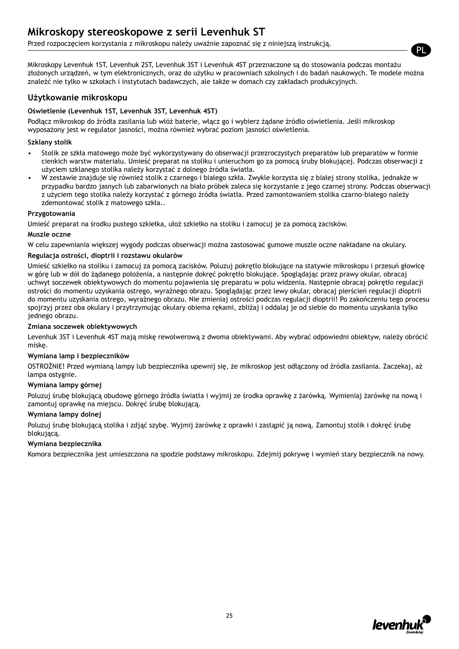### **Mikroskopy stereoskopowe z serii Levenhuk ST**

Przed rozpoczęciem korzystania z mikroskopu należy uważnie zapoznać się z niniejszą instrukcją.

Mikroskopy Levenhuk 1ST, Levenhuk 2ST, Levenhuk 3ST i Levenhuk 4ST przeznaczone są do stosowania podczas montażu złożonych urządzeń, w tym elektronicznych, oraz do użytku w pracowniach szkolnych i do badań naukowych. Te modele można znaleźć nie tylko w szkołach i instytutach badawczych, ale także w domach czy zakładach produkcyjnych.

### **Użytkowanie mikroskopu**

#### **Oświetlenie (Levenhuk 1ST, Levenhuk 3ST, Levenhuk 4ST)**

Podłącz mikroskop do źródła zasilania lub włóż baterie, włącz go i wybierz żądane źródło oświetlenia. Jeśli mikroskop wyposażony jest w regulator jasności, można również wybrać poziom jasności oświetlenia.

#### **Szklany stolik**

- Stolik ze szkła matowego może być wykorzystywany do obserwacji przezroczystych preparatów lub preparatów w formie cienkich warstw materiału. Umieść preparat na stoliku i unieruchom go za pomocą śruby blokującej. Podczas obserwacji z użyciem szklanego stolika należy korzystać z dolnego źródła światła.
- W zestawie znajduje się również stolik z czarnego i białego szkła. Zwykle korzysta się z białej strony stolika, jednakże w przypadku bardzo jasnych lub zabarwionych na biało próbek zaleca się korzystanie z jego czarnej strony. Podczas obserwacji z użyciem tego stolika należy korzystać z górnego źródła światła. Przed zamontowaniem stolika czarno-białego należy zdemontować stolik z matowego szkła..

#### **Przygotowania**

Umieść preparat na środku pustego szkiełka, ułoż szkiełko na stoliku i zamocuj je za pomocą zacisków.

#### **Muszle oczne**

W celu zapewniania większej wygody podczas obserwacji można zastosować gumowe muszle oczne nakładane na okulary.

#### **Regulacja ostrości, dioptrii i rozstawu okularów**

Umieść szkiełko na stoliku i zamocuj za pomocą zacisków. Poluzuj pokrętło blokujące na statywie mikroskopu i przesuń głowicę w górę lub w dół do żądanego położenia, a następnie dokręć pokrętło blokujące. Spoglądając przez prawy okular, obracaj uchwyt soczewek obiektywowych do momentu pojawienia się preparatu w polu widzenia. Następnie obracaj pokrętło regulacji ostrości do momentu uzyskania ostrego, wyraźnego obrazu. Spoglądając przez lewy okular, obracaj pierścień regulacji dioptrii do momentu uzyskania ostrego, wyraźnego obrazu. Nie zmieniaj ostrości podczas regulacji dioptrii! Po zakończeniu tego procesu spojrzyj przez oba okulary i przytrzymując okulary obiema rękami, zbliżaj i oddalaj je od siebie do momentu uzyskania tylko jednego obrazu.

#### **Zmiana soczewek obiektywowych**

Levenhuk 3ST i Levenhuk 4ST mają miskę rewolwerową z dwoma obiektywami. Aby wybrać odpowiedni obiektyw, należy obrócić miskę.

#### **Wymiana lamp i bezpieczników**

OSTROŻNIE! Przed wymianą lampy lub bezpiecznika upewnij się, że mikroskop jest odłączony od źródła zasilania. Zaczekaj, aż lampa ostygnie.

#### **Wymiana lampy górnej**

Poluzuj śrubę blokującą obudowę górnego źródła światła i wyjmij ze środka oprawkę z żarówką. Wymieniaj żarówkę na nową i zamontuj oprawkę na miejscu. Dokręć śrubę blokującą.

#### **Wymiana lampy dolnej**

Poluzuj śrubę blokującą stolika i zdjąć szybę. Wyjmij żarówkę z oprawki i zastąpić ją nową. Zamontuj stolik i dokręć śrubę blokującą.

#### **Wymiana bezpiecznika**

Komora bezpiecznika jest umieszczona na spodzie podstawy mikroskopu. Zdejmij pokrywę i wymień stary bezpiecznik na nowy.



PL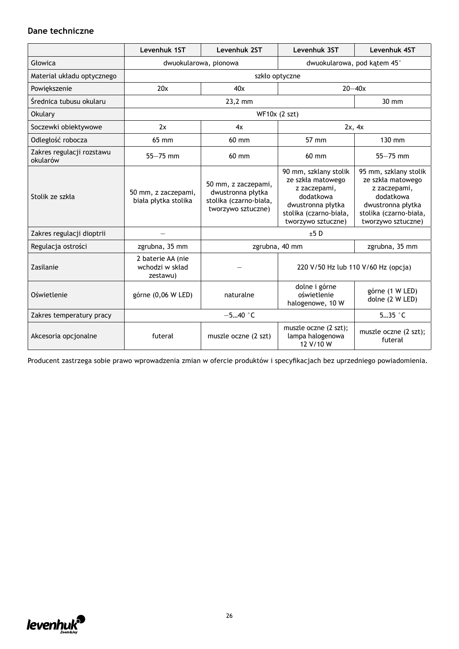### **Dane techniczne**

|                                       | Levenhuk 1ST                                     | Levenhuk 2ST                                                                             | Levenhuk 3ST                                                                                                                                 | Levenhuk 4ST                                                                                                                                 |
|---------------------------------------|--------------------------------------------------|------------------------------------------------------------------------------------------|----------------------------------------------------------------------------------------------------------------------------------------------|----------------------------------------------------------------------------------------------------------------------------------------------|
| Głowica                               | dwuokularowa, pionowa                            |                                                                                          | dwuokularowa, pod kątem 45°                                                                                                                  |                                                                                                                                              |
| Materiał układu optycznego            |                                                  |                                                                                          | szkło optyczne                                                                                                                               |                                                                                                                                              |
| Powiększenie                          | 20x                                              | 40x                                                                                      |                                                                                                                                              | $20 - 40x$                                                                                                                                   |
| Średnica tubusu okularu               |                                                  | 23,2 mm                                                                                  |                                                                                                                                              | 30 mm                                                                                                                                        |
| <b>Okulary</b>                        |                                                  |                                                                                          | WF10x (2 szt)                                                                                                                                |                                                                                                                                              |
| Soczewki obiektywowe                  | 2x                                               | 4x                                                                                       |                                                                                                                                              | 2x, 4x                                                                                                                                       |
| Odległość robocza                     | 65 mm                                            | 60 mm                                                                                    | 57 mm                                                                                                                                        | 130 mm                                                                                                                                       |
| Zakres regulacji rozstawu<br>okularów | $55 - 75$ mm                                     | $60$ mm                                                                                  | $60$ mm                                                                                                                                      | $55 - 75$ mm                                                                                                                                 |
| Stolik ze szkła                       | 50 mm, z zaczepami,<br>biała płytka stolika      | 50 mm, z zaczepami,<br>dwustronna płytka<br>stolika (czarno-biała,<br>tworzywo sztuczne) | 90 mm, szklany stolik<br>ze szkła matowego<br>z zaczepami,<br>dodatkowa<br>dwustronna płytka<br>stolika (czarno-biała,<br>tworzywo sztuczne) | 95 mm, szklany stolik<br>ze szkła matowego<br>z zaczepami,<br>dodatkowa<br>dwustronna płytka<br>stolika (czarno-biała,<br>tworzywo sztuczne) |
| Zakres regulacji dioptrii             |                                                  |                                                                                          | ±5D                                                                                                                                          |                                                                                                                                              |
| Regulacja ostrości                    | zgrubna, 35 mm                                   |                                                                                          | zgrubna, 40 mm                                                                                                                               | zgrubna, 35 mm                                                                                                                               |
| Zasilanie                             | 2 baterie AA (nie<br>wchodzi w skład<br>zestawu) |                                                                                          | 220 V/50 Hz lub 110 V/60 Hz (opcja)                                                                                                          |                                                                                                                                              |
| Oświetlenie                           | górne (0,06 W LED)                               | naturalne                                                                                | dolne i górne<br>oświetlenie<br>halogenowe, 10 W                                                                                             | górne (1 W LED)<br>dolne (2 W LED)                                                                                                           |
| Zakres temperatury pracy              |                                                  | $-540$ °C                                                                                |                                                                                                                                              | $535$ $\degree$ C                                                                                                                            |
| Akcesoria opcjonalne                  | futerał                                          | muszle oczne (2 szt)                                                                     | muszle oczne (2 szt);<br>lampa halogenowa<br>12 V/10 W                                                                                       | muszle oczne (2 szt);<br>futerał                                                                                                             |

Producent zastrzega sobie prawo wprowadzenia zmian w ofercie produktów i specyfikacjach bez uprzedniego powiadomienia.

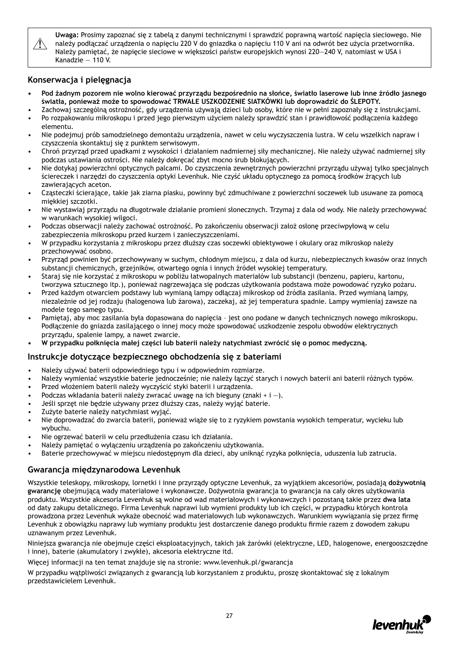

**Uwaga:** Prosimy zapoznać się z tabelą z danymi technicznymi i sprawdzić poprawną wartość napięcia sieciowego. Nie należy podłączać urządzenia o napięciu 220 V do gniazdka o napięciu 110 V ani na odwrót bez użycia przetwornika. Należy pamiętać, że napięcie sieciowe w większości państw europejskich wynosi 220—240 V, natomiast w USA i Kanadzie — 110 V.

### **Konserwacja i pielęgnacja**

- **• Pod żadnym pozorem nie wolno kierować przyrządu bezpośrednio na słońce, światło laserowe lub inne źródło jasnego światła, ponieważ może to spowodować TRWAŁE USZKODZENIE SIATKÓWKI lub doprowadzić do ŚLEPOTY.**
- Zachowaj szczególną ostrożność, gdy urządzenia używają dzieci lub osoby, które nie w pełni zapoznały się z instrukcjami.
- Po rozpakowaniu mikroskopu i przed jego pierwszym użyciem należy sprawdzić stan i prawidłowość podłączenia każdego elementu.
- Nie podejmuj prób samodzielnego demontażu urządzenia, nawet w celu wyczyszczenia lustra. W celu wszelkich napraw i czyszczenia skontaktuj się z punktem serwisowym.
- Chroń przyrząd przed upadkami z wysokości i działaniem nadmiernej siły mechanicznej. Nie należy używać nadmiernej siły podczas ustawiania ostrości. Nie należy dokręcać zbyt mocno śrub blokujących.
- Nie dotykaj powierzchni optycznych palcami. Do czyszczenia zewnętrznych powierzchni przyrządu używaj tylko specjalnych ściereczek i narzędzi do czyszczenia optyki Levenhuk. Nie czyść układu optycznego za pomocą środków żrących lub zawierających aceton.
- Cząsteczki ścierające, takie jak ziarna piasku, powinny być zdmuchiwane z powierzchni soczewek lub usuwane za pomocą miękkiej szczotki.
- Nie wystawiaj przyrządu na długotrwałe działanie promieni słonecznych. Trzymaj z dala od wody. Nie należy przechowywać w warunkach wysokiej wilgoci.
- Podczas obserwacji należy zachować ostrożność. Po zakończeniu obserwacji założ osłonę przeciwpyłową w celu zabezpieczenia mikroskopu przed kurzem i zanieczyszczeniami.
- W przypadku korzystania z mikroskopu przez dłuższy czas soczewki obiektywowe i okulary oraz mikroskop należy przechowywać osobno.
- Przyrząd powinien być przechowywany w suchym, chłodnym miejscu, z dala od kurzu, niebezpiecznych kwasów oraz innych substancji chemicznych, grzejników, otwartego ognia i innych źródeł wysokiej temperatury.
- Staraj się nie korzystać z mikroskopu w pobliżu łatwopalnych materiałów lub substancji (benzenu, papieru, kartonu, tworzywa sztucznego itp.), ponieważ nagrzewająca się podczas użytkowania podstawa może powodować ryzyko pożaru.
- Przed każdym otwarciem podstawy lub wymianą lampy odłączaj mikroskop od źródła zasilania. Przed wymianą lampy, niezależnie od jej rodzaju (halogenowa lub żarowa), zaczekaj, aż jej temperatura spadnie. Lampy wymieniaj zawsze na modele tego samego typu.
- Pamiętaj, aby moc zasilania była dopasowana do napięcia jest ono podane w danych technicznych nowego mikroskopu. Podłączenie do gniazda zasilającego o innej mocy może spowodować uszkodzenie zespołu obwodów elektrycznych przyrządu, spalenie lampy, a nawet zwarcie.
- **• W przypadku połknięcia małej części lub baterii należy natychmiast zwrócić się o pomoc medyczną.**

### **Instrukcje dotyczące bezpiecznego obchodzenia się z bateriami**

- Należy używać baterii odpowiedniego typu i w odpowiednim rozmiarze.
- Należy wymieniać wszystkie baterie jednocześnie; nie należy łączyć starych i nowych baterii ani baterii różnych typów.
- Przed włożeniem baterii należy wyczyścić styki baterii i urządzenia.
- Podczas wkładania baterii należy zwracać uwagę na ich bieguny (znaki + i -).
- Jeśli sprzęt nie będzie używany przez dłuższy czas, należy wyjąć baterie.
- Zużyte baterie należy natychmiast wyjąć.
- Nie doprowadzać do zwarcia baterii, ponieważ wiąże się to z ryzykiem powstania wysokich temperatur, wycieku lub wybuchu.
- Nie ogrzewać baterii w celu przedłużenia czasu ich działania.
- Należy pamiętać o wyłączeniu urządzenia po zakończeniu użytkowania.
- Baterie przechowywać w miejscu niedostępnym dla dzieci, aby uniknąć ryzyka połknięcia, uduszenia lub zatrucia.

### **Gwarancja międzynarodowa Levenhuk**

Wszystkie teleskopy, mikroskopy, lornetki i inne przyrządy optyczne Levenhuk, za wyjątkiem akcesoriów, posiadają **dożywotnią gwarancję** obejmującą wady materiałowe i wykonawcze. Dożywotnia gwarancja to gwarancja na cały okres użytkowania produktu. Wszystkie akcesoria Levenhuk są wolne od wad materiałowych i wykonawczych i pozostaną takie przez **dwa lata**  od daty zakupu detalicznego. Firma Levenhuk naprawi lub wymieni produkty lub ich części, w przypadku których kontrola prowadzona przez Levenhuk wykaże obecność wad materiałowych lub wykonawczych. Warunkiem wywiązania się przez firmę Levenhuk z obowiązku naprawy lub wymiany produktu jest dostarczenie danego produktu firmie razem z dowodem zakupu uznawanym przez Levenhuk.

Niniejsza gwarancja nie obejmuje części eksploatacyjnych, takich jak żarówki (elektryczne, LED, halogenowe, energooszczędne i inne), baterie (akumulatory i zwykłe), akcesoria elektryczne itd.

Więcej informacji na ten temat znajduje się na stronie: www.levenhuk.pl/gwarancja

W przypadku wątpliwości związanych z gwarancją lub korzystaniem z produktu, proszę skontaktować się z lokalnym przedstawicielem Levenhuk.

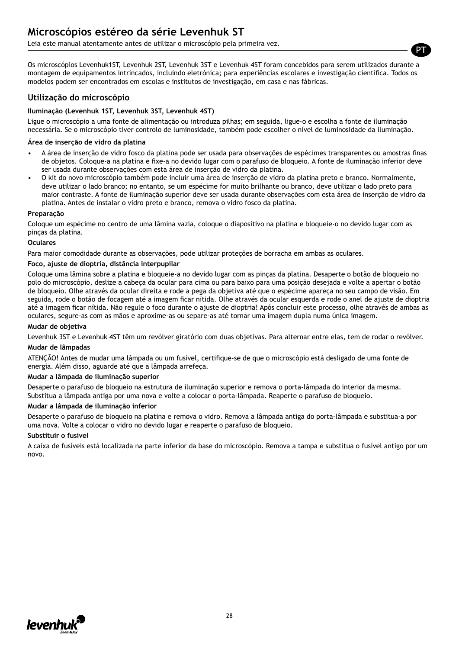Leia este manual atentamente antes de utilizar o microscópio pela primeira vez.

Os microscópios Levenhuk1ST, Levenhuk 2ST, Levenhuk 3ST e Levenhuk 4ST foram concebidos para serem utilizados durante a montagem de equipamentos intrincados, incluindo eletrónica; para experiências escolares e investigação científica. Todos os modelos podem ser encontrados em escolas e institutos de investigação, em casa e nas fábricas.

PT

### **Utilização do microscópio**

#### **Iluminação (Levenhuk 1ST, Levenhuk 3ST, Levenhuk 4ST)**

Ligue o microscópio a uma fonte de alimentação ou introduza pilhas; em seguida, ligue-o e escolha a fonte de iluminação necessária. Se o microscópio tiver controlo de luminosidade, também pode escolher o nível de luminosidade da iluminação.

#### **Área de inserção de vidro da platina**

- A área de inserção de vidro fosco da platina pode ser usada para observações de espécimes transparentes ou amostras finas de objetos. Coloque-a na platina e fixe-a no devido lugar com o parafuso de bloqueio. A fonte de iluminação inferior deve ser usada durante observações com esta área de inserção de vidro da platina.
- O kit do novo microscópio também pode incluir uma área de inserção de vidro da platina preto e branco. Normalmente, deve utilizar o lado branco; no entanto, se um espécime for muito brilhante ou branco, deve utilizar o lado preto para maior contraste. A fonte de iluminação superior deve ser usada durante observações com esta área de inserção de vidro da platina. Antes de instalar o vidro preto e branco, remova o vidro fosco da platina.

#### **Preparação**

Coloque um espécime no centro de uma lâmina vazia, coloque o diapositivo na platina e bloqueie-o no devido lugar com as pinças da platina.

#### **Oculares**

Para maior comodidade durante as observações, pode utilizar proteções de borracha em ambas as oculares.

#### **Foco, ajuste de dioptria, distância interpupilar**

Coloque uma lâmina sobre a platina e bloqueie-a no devido lugar com as pinças da platina. Desaperte o botão de bloqueio no polo do microscópio, deslize a cabeça da ocular para cima ou para baixo para uma posição desejada e volte a apertar o botão de bloqueio. Olhe através da ocular direita e rode a pega da objetiva até que o espécime apareça no seu campo de visão. Em seguida, rode o botão de focagem até a imagem ficar nítida. Olhe através da ocular esquerda e rode o anel de ajuste de dioptria até a imagem ficar nítida. Não regule o foco durante o ajuste de dioptria! Após concluir este processo, olhe através de ambas as oculares, segure-as com as mãos e aproxime-as ou separe-as até tornar uma imagem dupla numa única imagem.

#### **Mudar de objetiva**

Levenhuk 3ST e Levenhuk 4ST têm um revólver giratório com duas objetivas. Para alternar entre elas, tem de rodar o revólver.

#### **Mudar de lâmpadas**

ATENÇÃO! Antes de mudar uma lâmpada ou um fusível, certifique-se de que o microscópio está desligado de uma fonte de energia. Além disso, aguarde até que a lâmpada arrefeça.

#### **Mudar a lâmpada de iluminação superior**

Desaperte o parafuso de bloqueio na estrutura de iluminação superior e remova o porta-lâmpada do interior da mesma. Substitua a lâmpada antiga por uma nova e volte a colocar o porta-lâmpada. Reaperte o parafuso de bloqueio.

#### **Mudar a lâmpada de iluminação inferior**

Desaperte o parafuso de bloqueio na platina e remova o vidro. Remova a lâmpada antiga do porta-lâmpada e substitua-a por uma nova. Volte a colocar o vidro no devido lugar e reaperte o parafuso de bloqueio.

#### **Substituir o fusível**

A caixa de fusíveis está localizada na parte inferior da base do microscópio. Remova a tampa e substitua o fusível antigo por um novo.

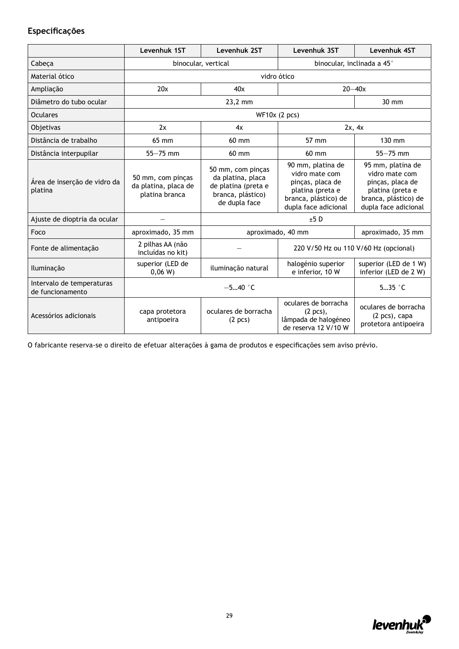### **Especificações**

|                                               | Levenhuk 1ST                                                | Levenhuk 2ST                                                                                        | Levenhuk 3ST                                                                                                                | Levenhuk 4ST                                                                                                                |  |
|-----------------------------------------------|-------------------------------------------------------------|-----------------------------------------------------------------------------------------------------|-----------------------------------------------------------------------------------------------------------------------------|-----------------------------------------------------------------------------------------------------------------------------|--|
| Cabeça                                        | binocular, vertical                                         |                                                                                                     |                                                                                                                             | binocular, inclinada a 45°                                                                                                  |  |
| Material ótico                                |                                                             |                                                                                                     | vidro ótico                                                                                                                 |                                                                                                                             |  |
| Ampliação                                     | 20x                                                         | 40x                                                                                                 |                                                                                                                             | $20 - 40x$                                                                                                                  |  |
| Diâmetro do tubo ocular                       |                                                             | 23,2 mm                                                                                             |                                                                                                                             | $30 \text{ mm}$                                                                                                             |  |
| <b>Oculares</b>                               |                                                             |                                                                                                     | $WF10x$ (2 pcs)                                                                                                             |                                                                                                                             |  |
| Objetivas                                     | 2x                                                          | 4x                                                                                                  |                                                                                                                             | 2x, 4x                                                                                                                      |  |
| Distância de trabalho                         | 65 mm                                                       | 60 mm                                                                                               | 57 mm                                                                                                                       | $130 \text{ mm}$                                                                                                            |  |
| Distância interpupilar                        | $55 - 75$ mm                                                | 60 mm                                                                                               | 60 mm                                                                                                                       | $55 - 75$ mm                                                                                                                |  |
| Área de inserção de vidro da<br>platina       | 50 mm, com pinças<br>da platina, placa de<br>platina branca | 50 mm, com pinças<br>da platina, placa<br>de platina (preta e<br>branca, plástico)<br>de dupla face | 90 mm, platina de<br>vidro mate com<br>pinças, placa de<br>platina (preta e<br>branca, plástico) de<br>dupla face adicional | 95 mm, platina de<br>vidro mate com<br>pinças, placa de<br>platina (preta e<br>branca, plástico) de<br>dupla face adicional |  |
| Ajuste de dioptria da ocular                  |                                                             | ±5D                                                                                                 |                                                                                                                             |                                                                                                                             |  |
| Foco                                          | aproximado, 35 mm                                           |                                                                                                     | aproximado, 40 mm                                                                                                           | aproximado, 35 mm                                                                                                           |  |
| Fonte de alimentação                          | 2 pilhas AA (não<br>incluídas no kit)                       |                                                                                                     | 220 V/50 Hz ou 110 V/60 Hz (opcional)                                                                                       |                                                                                                                             |  |
| Iluminação                                    | superior (LED de<br>0,06 W                                  | iluminação natural                                                                                  | halogénio superior<br>e inferior, 10 W                                                                                      | superior (LED de 1 W)<br>inferior (LED de 2 W)                                                                              |  |
| Intervalo de temperaturas<br>de funcionamento | $-540$ °C                                                   |                                                                                                     |                                                                                                                             | $535$ $\degree$ C                                                                                                           |  |
| Acessórios adicionais                         | capa protetora<br>antipoeira                                | oculares de borracha<br>(2 pcs)                                                                     | oculares de borracha<br>$(2 pcs)$ ,<br>lâmpada de halogéneo<br>de reserva 12 V/10 W                                         | oculares de borracha<br>$(2 pcs)$ , capa<br>protetora antipoeira                                                            |  |

O fabricante reserva-se o direito de efetuar alterações à gama de produtos e especificações sem aviso prévio.

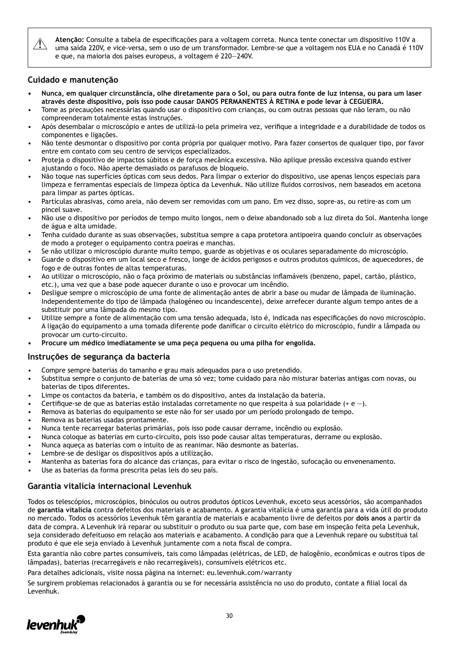Atenção: Consulte a tabela de especificações para a voltagem correta. Nunca tente conectar um dispositivo 110V a<br>Uma saída 220V, e vice-versa, sem o uso de um transformador. Lembre-se que a voltagem nos EUA e no Canadá é 1 e que, na maioria dos países europeus, a voltagem é 220—240V.

### **Cuidado e manutenção**

- **• Nunca, em qualquer circunstância, olhe diretamente para o Sol, ou para outra fonte de luz intensa, ou para um laser através deste dispositivo, pois isso pode causar DANOS PERMANENTES À RETINA e pode levar à CEGUEIRA.**
- Tome as precauções necessárias quando usar o dispositivo com crianças, ou com outras pessoas que não leram, ou não compreenderam totalmente estas instruções.
- Após desembalar o microscópio e antes de utilizá-lo pela primeira vez, verifique a integridade e a durabilidade de todos os componentes e ligações.
- Não tente desmontar o dispositivo por conta própria por qualquer motivo. Para fazer consertos de qualquer tipo, por favor entre em contato com seu centro de serviços especializados.
- Proteja o dispositivo de impactos súbitos e de força mecânica excessiva. Não aplique pressão excessiva quando estiver ajustando o foco. Não aperte demasiado os parafusos de bloqueio.
- Não toque nas superfícies ópticas com seus dedos. Para limpar o exterior do dispositivo, use apenas lenços especiais para limpeza e ferramentas especiais de limpeza óptica da Levenhuk. Não utilize fluidos corrosivos, nem baseados em acetona para limpar as partes ópticas.
- Partículas abrasivas, como areia, não devem ser removidas com um pano. Em vez disso, sopre-as, ou retire-as com um pincel suave.
- Não use o dispositivo por períodos de tempo muito longos, nem o deixe abandonado sob a luz direta do Sol. Mantenha longe de água e alta umidade.
- Tenha cuidado durante as suas observações, substitua sempre a capa protetora antipoeira quando concluir as observações de modo a proteger o equipamento contra poeiras e manchas.
- Se não utilizar o microscópio durante muito tempo, guarde as objetivas e os oculares separadamente do microscópio.
- Guarde o dispositivo em um local seco e fresco, longe de ácidos perigosos e outros produtos químicos, de aquecedores, de fogo e de outras fontes de altas temperaturas.
- Ao utilizar o microscópio, não o faça próximo de materiais ou substâncias inflamáveis (benzeno, papel, cartão, plástico, etc.), uma vez que a base pode aquecer durante o uso e provocar um incêndio.
- Desligue sempre o microscópio de uma fonte de alimentação antes de abrir a base ou mudar de lâmpada de iluminação. Independentemente do tipo de lâmpada (halogéneo ou incandescente), deixe arrefecer durante algum tempo antes de a substituir por uma lâmpada do mesmo tipo.
- Utilize sempre a fonte de alimentação com uma tensão adequada, isto é, indicada nas especificações do novo microscópio. A ligação do equipamento a uma tomada diferente pode danificar o circuito elétrico do microscópio, fundir a lâmpada ou provocar um curto-circuito.
- **• Procure um médico imediatamente se uma peça pequena ou uma pilha for engolida.**

### **Instruções de segurança da bacteria**

- Compre sempre baterias do tamanho e grau mais adequados para o uso pretendido.
- Substitua sempre o conjunto de baterias de uma só vez; tome cuidado para não misturar baterias antigas com novas, ou baterias de tipos diferentes.
- Limpe os contactos da bateria, e também os do dispositivo, antes da instalação da bateria.
- Certifique-se de que as baterias estão instaladas corretamente no que respeita à sua polaridade (+ e —).
- Remova as baterias do equipamento se este não for ser usado por um período prolongado de tempo.
- Remova as baterias usadas prontamente.
- Nunca tente recarregar baterias primárias, pois isso pode causar derrame, incêndio ou explosão.
- Nunca coloque as baterias em curto-circuito, pois isso pode causar altas temperaturas, derrame ou explosão.
- Nunca aqueça as baterias com o intuito de as reanimar. Não desmonte as baterias.
- Lembre-se de desligar os dispositivos após a utilização.
- Mantenha as baterias fora do alcance das crianças, para evitar o risco de ingestão, sufocação ou envenenamento.
- Use as baterias da forma prescrita pelas leis do seu país.

#### **Garantia vitalícia internacional Levenhuk**

Todos os telescópios, microscópios, binóculos ou outros produtos ópticos Levenhuk, exceto seus acessórios, são acompanhados de **garantia vitalícia** contra defeitos dos materiais e acabamento. A garantia vitalícia é uma garantia para a vida útil do produto no mercado. Todos os acessórios Levenhuk têm garantia de materiais e acabamento livre de defeitos por **dois anos** a partir da data de compra. A Levenhuk irá reparar ou substituir o produto ou sua parte que, com base em inspeção feita pela Levenhuk, seja considerado defeituoso em relação aos materiais e acabamento. A condição para que a Levenhuk repare ou substitua tal produto é que ele seja enviado à Levenhuk juntamente com a nota fiscal de compra.

Esta garantia não cobre partes consumíveis, tais como lâmpadas (elétricas, de LED, de halogênio, econômicas e outros tipos de lâmpadas), baterias (recarregáveis e não recarregáveis), consumíveis elétricos etc.

Para detalhes adicionais, visite nossa página na internet: eu.levenhuk.com/warranty

Se surgirem problemas relacionados à garantia ou se for necessária assistência no uso do produto, contate a filial local da Levenhuk.

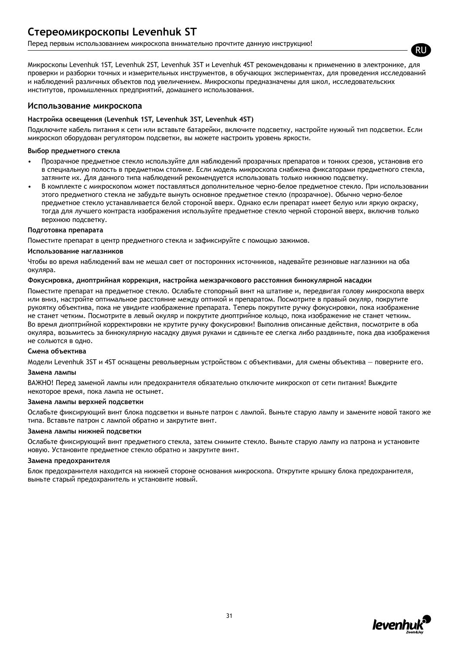## **Стереомикроскопы Levenhuk ST**

Перед первым использованием микроскопа внимательно прочтите данную инструкцию!

Микроскопы Levenhuk 1ST, Levenhuk 2ST, Levenhuk 3ST и Levenhuk 4ST рекомендованы к применению в электронике, для проверки и разборки точных и измерительных инструментов, в обучающих экспериментах, для проведения исследований и наблюдений различных объектов под увеличением. Микроскопы предназначены для школ, исследовательских институтов, промышленных предприятий, домашнего использования.

#### **Использование микроскопа**

#### **Настройка освещения (Levenhuk 1ST, Levenhuk 3ST, Levenhuk 4ST)**

Подключите кабель питания к сети или вставьте батарейки, включите подсветку, настройте нужный тип подсветки. Если микроскоп оборудован регулятором подсветки, вы можете настроить уровень яркости.

#### **Выбор предметного стекла**

- Прозрачное предметное стекло используйте для наблюдений прозрачных препаратов и тонких срезов, установив его в специальную полость в предметном столике. Если модель микроскопа снабжена фиксаторами предметного стекла, затяните их. Для данного типа наблюдений рекомендуется использовать только нижнюю подсветку.
- В комплекте с микроскопом может поставляться дополнительное черно-белое предметное стекло. При использовании этого предметного стекла не забудьте вынуть основное предметное стекло (прозрачное). Обычно черно-белое предметное стекло устанавливается белой стороной вверх. Однако если препарат имеет белую или яркую окраску, тогда для лучшего контраста изображения используйте предметное стекло черной стороной вверх, включив только верхнюю подсветку.

#### **Подготовка препарата**

Поместите препарат в центр предметного стекла и зафиксируйте с помощью зажимов.

#### **Использование наглазников**

Чтобы во время наблюдений вам не мешал свет от посторонних источников, надевайте резиновые наглазники на оба окуляра.

#### **Фокусировка, диоптрийная коррекция, настройка межзрачкового расстояния бинокулярной насадки**

Поместите препарат на предметное стекло. Ослабьте стопорный винт на штативе и, передвигая голову микроскопа вверх или вниз, настройте оптимальное расстояние между оптикой и препаратом. Посмотрите в правый окуляр, покрутите рукоятку объектива, пока не увидите изображение препарата. Теперь покрутите ручку фокусировки, пока изображение не станет четким. Посмотрите в левый окуляр и покрутите диоптрийное кольцо, пока изображение не станет четким. Во время диоптрийной корректировки не крутите ручку фокусировки! Выполнив описанные действия, посмотрите в оба окуляра, возьмитесь за бинокулярную насадку двумя руками и сдвиньте ее слегка либо раздвиньте, пока два изображения не сольются в одно.

#### **Смена объектива**

Модели Levenhuk 3ST и 4ST оснащены револьверным устройством с объективами, для смены объектива — поверните его.

#### **Замена лампы**

ВАЖНО! Перед заменой лампы или предохранителя обязательно отключите микроскоп от сети питания! Выждите некоторое время, пока лампа не остынет.

#### **Замена лампы верхней подсветки**

Ослабьте фиксирующий винт блока подсветки и выньте патрон с лампой. Выньте старую лампу и замените новой такого же типа. Вставьте патрон с лампой обратно и закрутите винт.

#### **Замена лампы нижней подсветки**

Ослабьте фиксирующий винт предметного стекла, затем снимите стекло. Выньте старую лампу из патрона и установите новую. Установите предметное стекло обратно и закрутите винт.

#### **Замена предохранителя**

Блок предохранителя находится на нижней стороне основания микроскопа. Открутите крышку блока предохранителя, выньте старый предохранитель и установите новый.



RU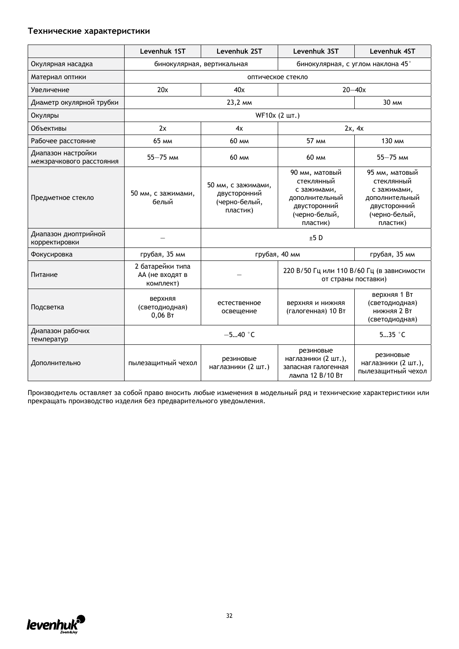#### **Технические характеристики**

|                                                | Levenhuk 1ST                                     | Levenhuk 2ST                                                    | Levenhuk 3ST                                                                                               | Levenhuk 4ST                                                                                               |  |
|------------------------------------------------|--------------------------------------------------|-----------------------------------------------------------------|------------------------------------------------------------------------------------------------------------|------------------------------------------------------------------------------------------------------------|--|
| Окулярная насадка                              | бинокулярная, вертикальная                       |                                                                 |                                                                                                            | бинокулярная, с углом наклона 45°                                                                          |  |
| Материал оптики                                |                                                  | оптическое стекло                                               |                                                                                                            |                                                                                                            |  |
| Увеличение                                     | 20x                                              | 40x                                                             |                                                                                                            | $20 - 40x$                                                                                                 |  |
| Диаметр окулярной трубки                       |                                                  | 23,2 MM                                                         |                                                                                                            | 30 MM                                                                                                      |  |
| Окуляры                                        |                                                  |                                                                 | WF10x (2 шт.)                                                                                              |                                                                                                            |  |
| Объективы                                      | 2x                                               | 4x                                                              |                                                                                                            | 2x, 4x                                                                                                     |  |
| Рабочее расстояние                             | 65 мм                                            | 60 мм                                                           | 57 MM                                                                                                      | 130 мм                                                                                                     |  |
| Диапазон настройки<br>межзрачкового расстояния | $55 - 75$ MM                                     | 60 MM                                                           | 60 MM                                                                                                      | $55 - 75$ MM                                                                                               |  |
| Предметное стекло                              | 50 мм, с зажимами,<br>белый                      | 50 мм, с зажимами,<br>двусторонний<br>(черно-белый,<br>пластик) | 90 мм, матовый<br>стеклянный<br>с зажимами,<br>дополнительный<br>двусторонний<br>(черно-белый,<br>пластик) | 95 мм, матовый<br>стеклянный<br>с зажимами,<br>дополнительный<br>двусторонний<br>(черно-белый,<br>пластик) |  |
| Диапазон диоптрийной<br>корректировки          |                                                  |                                                                 | ±5D                                                                                                        |                                                                                                            |  |
| Фокусировка                                    | грубая, 35 мм                                    |                                                                 | грубая, 40 мм                                                                                              | грубая, 35 мм                                                                                              |  |
| Питание                                        | 2 батарейки типа<br>АА (не входят в<br>комплект) |                                                                 | 220 В/50 Гц или 110 В/60 Гц (в зависимости<br>от страны поставки)                                          |                                                                                                            |  |
| Подсветка                                      | верхняя<br>(светодиодная)<br>0,06 B <sub>T</sub> | естественное<br>освещение                                       | верхняя и нижняя<br>(галогенная) 10 Вт                                                                     | верхняя 1 Вт<br>(светодиодная)<br><b>НИЖНЯЯ 2 Вт</b><br>(светодиодная)                                     |  |
| Диапазон рабочих<br>температур                 | $-540$ °C                                        |                                                                 |                                                                                                            | $535$ $\degree$ C                                                                                          |  |
| Дополнительно                                  | пылезащитный чехол                               | резиновые<br>наглазники (2 шт.)                                 | резиновые<br>наглазники (2 шт.),<br>запасная галогенная<br>лампа 12 В/10 Вт                                | резиновые<br>наглазники (2 шт.),<br>пылезащитный чехол                                                     |  |

Производитель оставляет за собой право вносить любые изменения в модельный ряд и технические характеристики или прекращать производство изделия без предварительного уведомления.

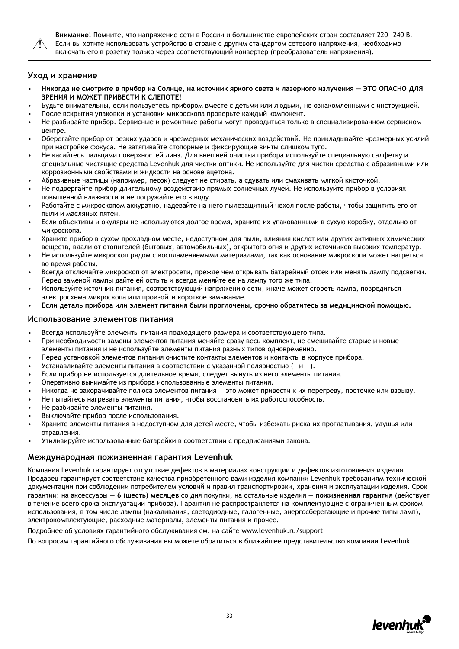

**Внимание!** Помните, что напряжение сети в России и большинстве европейских стран составляет 220—240 В. Если вы хотите использовать устройство в стране с другим стандартом сетевого напряжения, необходимо включать его в розетку только через соответствующий конвертер (преобразователь напряжения).

#### **Уход и хранение**

- **Никогда не смотрите в прибор на Солнце, на источник яркого света и лазерного излучения ЭТО ОПАСНО ДЛЯ ЗРЕНИЯ И МОЖЕТ ПРИВЕСТИ К СЛЕПОТЕ!**
- Будьте внимательны, если пользуетесь прибором вместе с детьми или людьми, не ознакомленными с инструкцией.
- После вскрытия упаковки и установки микроскопа проверьте каждый компонент.
- Не разбирайте прибор. Сервисные и ремонтные работы могут проводиться только в специализированном сервисном центре.
- Оберегайте прибор от резких ударов и чрезмерных механических воздействий. Не прикладывайте чрезмерных усилий при настройке фокуса. Не затягивайте стопорные и фиксирующие винты слишком туго.
- Не касайтесь пальцами поверхностей линз. Для внешней очистки прибора используйте специальную салфетку и специальные чистящие средства Levenhuk для чистки оптики. Не используйте для чистки средства с абразивными или коррозионными свойствами и жидкости на основе ацетона.
- Абразивные частицы (например, песок) следует не стирать, а сдувать или смахивать мягкой кисточкой.
- Не подвергайте прибор длительному воздействию прямых солнечных лучей. Не используйте прибор в условиях повышенной влажности и не погружайте его в воду.
- Работайте с микроскопом аккуратно, надевайте на него пылезащитный чехол после работы, чтобы защитить его от пыли и масляных пятен.
- Если объективы и окуляры не используются долгое время, храните их упакованными в сухую коробку, отдельно от микроскопа.
- Храните прибор в сухом прохладном месте, недоступном для пыли, влияния кислот или других активных химических веществ, вдали от отопителей (бытовых, автомобильных), открытого огня и других источников высоких температур.
- Не используйте микроскоп рядом с воспламеняемыми материалами, так как основание микроскопа может нагреться во время работы.
- Всегда отключайте микроскоп от электросети, прежде чем открывать батарейный отсек или менять лампу подсветки. Перед заменой лампы дайте ей остыть и всегда меняйте ее на лампу того же типа.
- Используйте источник питания, соответствующий напряжению сети, иначе может сгореть лампа, повредиться электросхема микроскопа или произойти короткое замыкание.
- **Если деталь прибора или элемент питания были проглочены, срочно обратитесь за медицинской помощью.**

#### **Использование элементов питания**

- Всегда используйте элементы питания подходящего размера и соответствующего типа.
- При необходимости замены элементов питания меняйте сразу весь комплект, не смешивайте старые и новые элементы питания и не используйте элементы питания разных типов одновременно.
- Перед установкой элементов питания очистите контакты элементов и контакты в корпусе прибора.
- Устанавливайте элементы питания в соответствии с указанной полярностью (+ и —).
- Если прибор не используется длительное время, следует вынуть из него элементы питания.
- Оперативно вынимайте из прибора использованные элементы питания.
- Никогда не закорачивайте полюса элементов питания это может привести к их перегреву, протечке или взрыву.
- Не пытайтесь нагревать элементы питания, чтобы восстановить их работоспособность.
- Не разбирайте элементы питания.
- Выключайте прибор после использования.
- Храните элементы питания в недоступном для детей месте, чтобы избежать риска их проглатывания, удушья или отравления.
- Утилизируйте использованные батарейки в соответствии с предписаниями закона.

#### **Международная пожизненная гарантия Levenhuk**

Компания Levenhuk гарантирует отсутствие дефектов в материалах конструкции и дефектов изготовления изделия. Продавец гарантирует соответствие качества приобретенного вами изделия компании Levenhuk требованиям технической документации при соблюдении потребителем условий и правил транспортировки, хранения и эксплуатации изделия. Срок гарантии: на аксессуары — **6 (шесть) месяцев** со дня покупки, на остальные изделия — **пожизненная гарантия** (действует в течение всего срока эксплуатации прибора). Гарантия не распространяется на комплектующие с ограниченным сроком использования, в том числе лампы (накаливания, светодиодные, галогенные, энергосберегающие и прочие типы ламп), электрокомплектующие, расходные материалы, элементы питания и прочее.

Подробнее об условиях гарантийного обслуживания см. на сайте www.levenhuk.ru/support

По вопросам гарантийного обслуживания вы можете обратиться в ближайшее представительство компании Levenhuk.